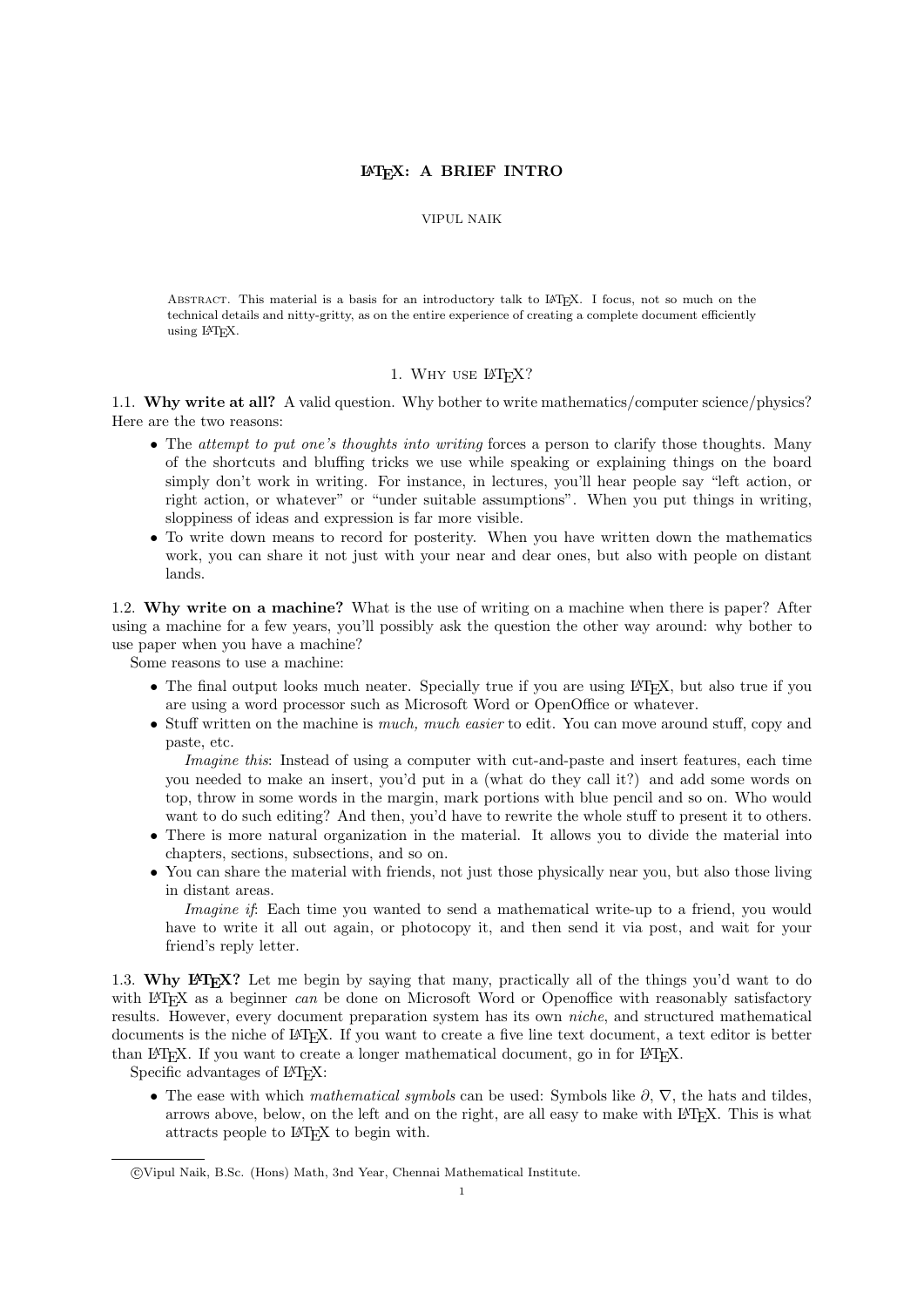## LATEX: A BRIEF INTRO

### VIPUL NAIK

Abstract. This material is a basis for an introductory talk to LATEX. I focus, not so much on the technical details and nitty-gritty, as on the entire experience of creating a complete document efficiently using LATEX.

## 1. WHY USE LATEX?

1.1. Why write at all? A valid question. Why bother to write mathematics/computer science/physics? Here are the two reasons:

- The attempt to put one's thoughts into writing forces a person to clarify those thoughts. Many of the shortcuts and bluffing tricks we use while speaking or explaining things on the board simply don't work in writing. For instance, in lectures, you'll hear people say "left action, or right action, or whatever" or "under suitable assumptions". When you put things in writing, sloppiness of ideas and expression is far more visible.
- To write down means to record for posterity. When you have written down the mathematics work, you can share it not just with your near and dear ones, but also with people on distant lands.

1.2. Why write on a machine? What is the use of writing on a machine when there is paper? After using a machine for a few years, you'll possibly ask the question the other way around: why bother to use paper when you have a machine?

Some reasons to use a machine:

- The final output looks much neater. Specially true if you are using LAT<sub>E</sub>X, but also true if you are using a word processor such as Microsoft Word or OpenOffice or whatever.
- Stuff written on the machine is *much, much easier* to edit. You can move around stuff, copy and paste, etc.

Imagine this: Instead of using a computer with cut-and-paste and insert features, each time you needed to make an insert, you'd put in a (what do they call it?) and add some words on top, throw in some words in the margin, mark portions with blue pencil and so on. Who would want to do such editing? And then, you'd have to rewrite the whole stuff to present it to others.

- There is more natural organization in the material. It allows you to divide the material into chapters, sections, subsections, and so on.
- You can share the material with friends, not just those physically near you, but also those living in distant areas.

Imagine if: Each time you wanted to send a mathematical write-up to a friend, you would have to write it all out again, or photocopy it, and then send it via post, and wait for your friend's reply letter.

1.3. Why LAT<sub>EX</sub>? Let me begin by saying that many, practically all of the things you'd want to do with LAT<sub>EX</sub> as a beginner can be done on Microsoft Word or Openoffice with reasonably satisfactory results. However, every document preparation system has its own niche, and structured mathematical documents is the niche of LATEX. If you want to create a five line text document, a text editor is better than LATEX. If you want to create a longer mathematical document, go in for LATEX.

Specific advantages of  $\Delta T$ FX:

• The ease with which mathematical symbols can be used: Symbols like  $\partial$ ,  $\nabla$ , the hats and tildes, arrows above, below, on the left and on the right, are all easy to make with LAT<sub>EX</sub>. This is what attracts people to LATEX to begin with.

c Vipul Naik, B.Sc. (Hons) Math, 3nd Year, Chennai Mathematical Institute.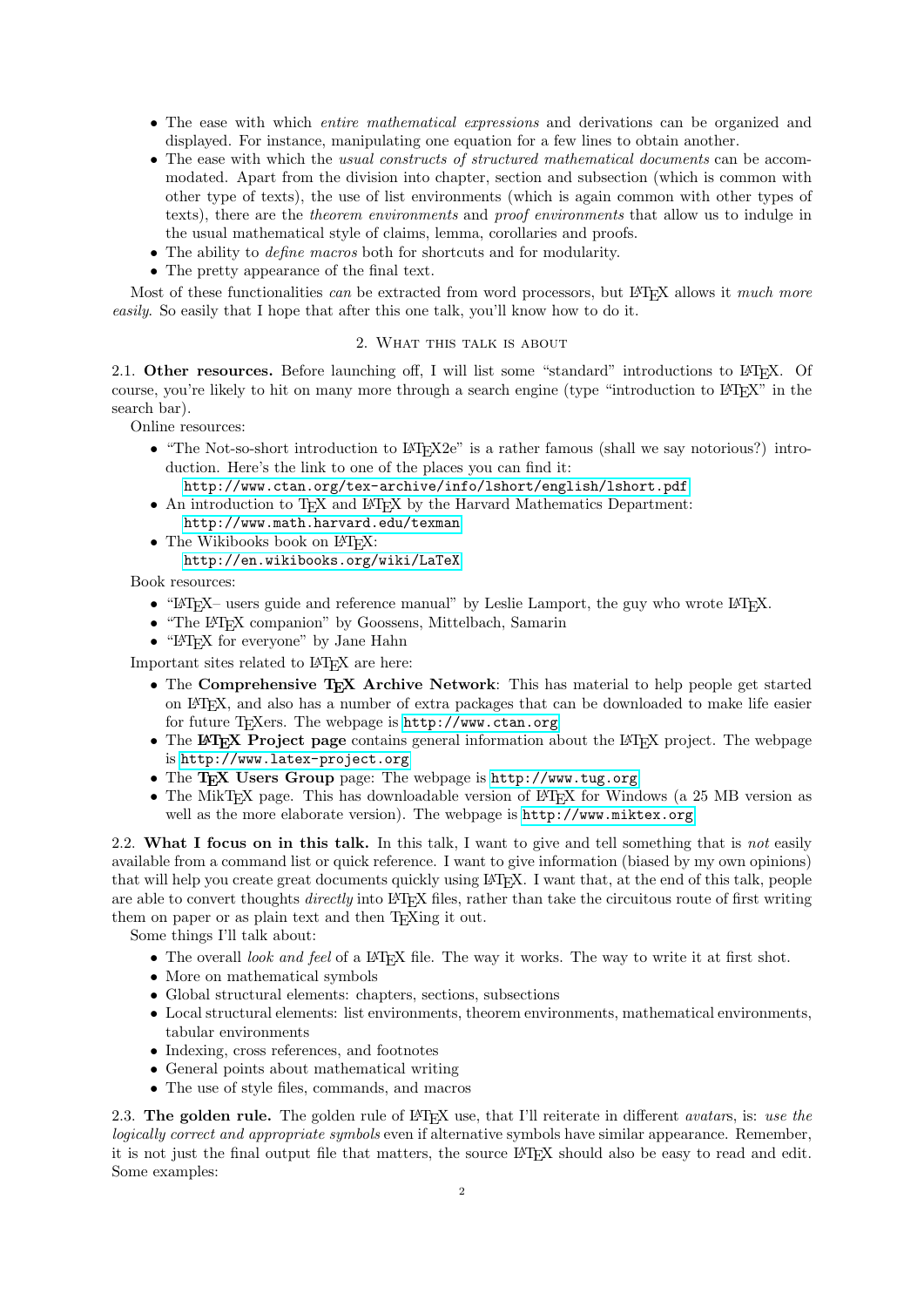- The ease with which entire mathematical expressions and derivations can be organized and displayed. For instance, manipulating one equation for a few lines to obtain another.
- The ease with which the usual constructs of structured mathematical documents can be accommodated. Apart from the division into chapter, section and subsection (which is common with other type of texts), the use of list environments (which is again common with other types of texts), there are the theorem environments and proof environments that allow us to indulge in the usual mathematical style of claims, lemma, corollaries and proofs.
- The ability to *define macros* both for shortcuts and for modularity.
- The pretty appearance of the final text.

Most of these functionalities can be extracted from word processors, but LATEX allows it much more easily. So easily that I hope that after this one talk, you'll know how to do it.

# 2. What this talk is about

<span id="page-1-0"></span>2.1. Other resources. Before launching off, I will list some "standard" introductions to LATEX. Of course, you're likely to hit on many more through a search engine (type "introduction to LATEX" in the search bar).

Online resources:

- "The Not-so-short introduction to L<sup>AT</sup>FX2e" is a rather famous (shall we say notorious?) introduction. Here's the link to one of the places you can find it:
	- <http://www.ctan.org/tex-archive/info/lshort/english/lshort.pdf>
- An introduction to T<sub>EX</sub> and L<sup>AT</sup>EX by the Harvard Mathematics Department: <http://www.math.harvard.edu/texman>
- The Wikibooks book on L<sup>AT</sup>FX:

#### <http://en.wikibooks.org/wiki/LaTeX>

Book resources:

- " $\mathbb{P}(\mathbb{F}(\mathbb{F}(\mathbb{F}(\mathbb{F}(\mathbb{F}(\mathbb{F}(\mathbb{F}(\mathbb{F}(\mathbb{F}(\mathbb{F}(\mathbb{F}(\mathbb{F}(\mathbb{F}(\mathbb{F}(\mathbb{F}(\mathbb{F}(\mathbb{F}(\mathbb{F}(\mathbb{F}(\mathbb{F}(\mathbb{F}(\mathbb{F}(\mathbb{F}(\mathbb{F}(\mathbb{F}(\mathbb{F}(\mathbb{F}(\mathbb{F}(\mathbb{F}(\mathbb{F}(\mathbb{F}(\mathbb{F}(\mathbb{F}(\mathbb{F}(\mathbb{F}(\$
- "The LATEX companion" by Goossens, Mittelbach, Samarin
- "IATEX for everyone" by Jane Hahn

Important sites related to LAT<sub>EX</sub> are here:

- The Comprehensive TEX Archive Network: This has material to help people get started on LATEX, and also has a number of extra packages that can be downloaded to make life easier for future T<sub>E</sub>Xers. The webpage is <http://www.ctan.org>
- The LAT<sub>EX</sub> Project page contains general information about the LAT<sub>EX</sub> project. The webpage is <http://www.latex-project.org>
- The T<sub>E</sub>X Users Group page: The webpage is <http://www.tug.org>
- The MikT<sub>EX</sub> page. This has downloadable version of L<sup>AT</sup>EX for Windows (a 25 MB version as well as the more elaborate version). The webpage is <http://www.miktex.org>

2.2. What I focus on in this talk. In this talk, I want to give and tell something that is not easily available from a command list or quick reference. I want to give information (biased by my own opinions) that will help you create great documents quickly using LATEX. I want that, at the end of this talk, people are able to convert thoughts *directly* into LAT<sub>EX</sub> files, rather than take the circuitous route of first writing them on paper or as plain text and then T<sub>E</sub>Xing it out.

Some things I'll talk about:

- The overall look and feel of a LATEX file. The way it works. The way to write it at first shot.
- More on mathematical symbols
- Global structural elements: chapters, sections, subsections
- Local structural elements: list environments, theorem environments, mathematical environments, tabular environments
- Indexing, cross references, and footnotes
- General points about mathematical writing
- The use of style files, commands, and macros

2.3. The golden rule. The golden rule of LATEX use, that I'll reiterate in different avatars, is: use the logically correct and appropriate symbols even if alternative symbols have similar appearance. Remember, it is not just the final output file that matters, the source LATEX should also be easy to read and edit. Some examples: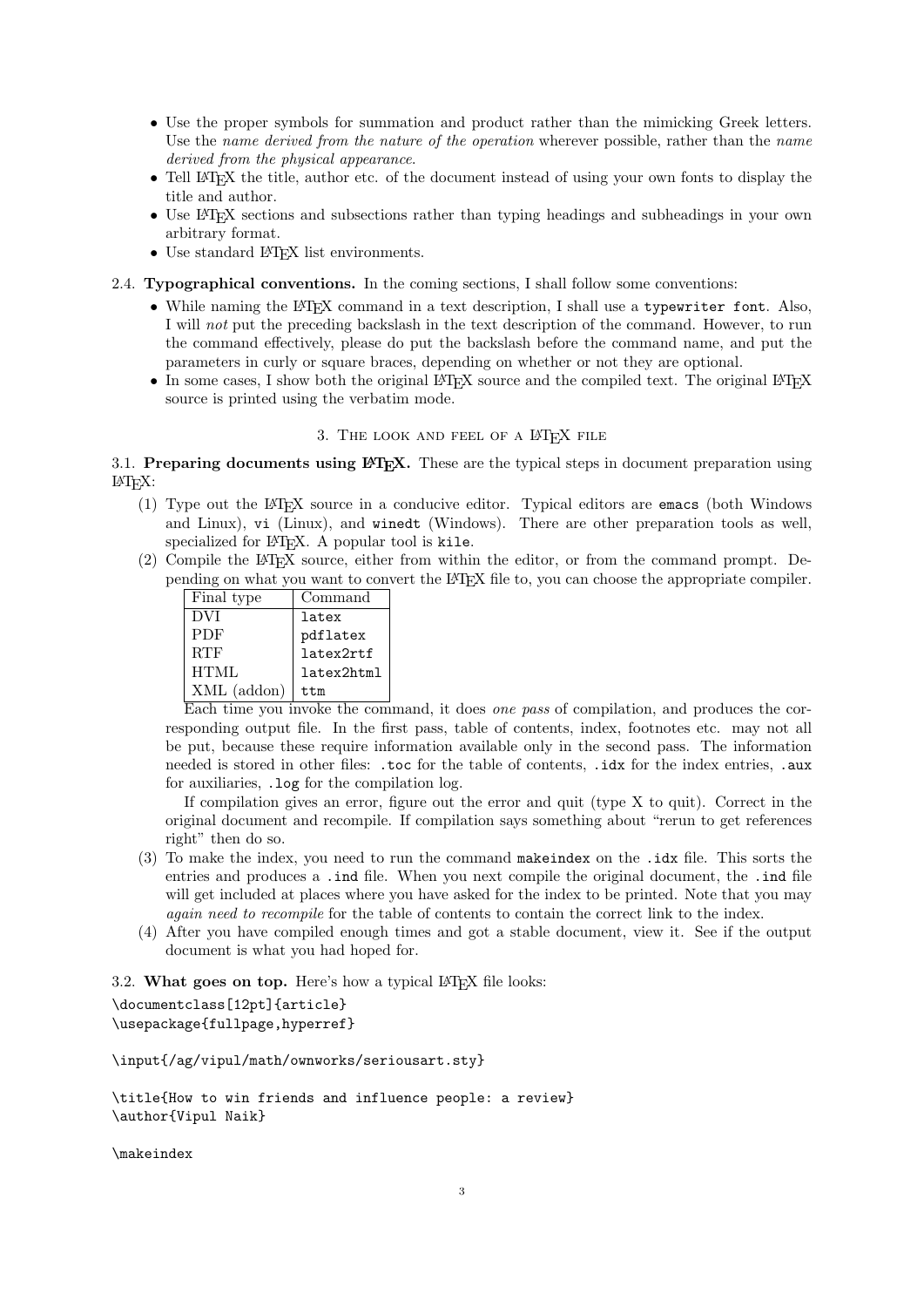- Use the proper symbols for summation and product rather than the mimicking Greek letters. Use the name derived from the nature of the operation wherever possible, rather than the name derived from the physical appearance.
- Tell IAT<sub>EX</sub> the title, author etc. of the document instead of using your own fonts to display the title and author.
- Use IAT<sub>EX</sub> sections and subsections rather than typing headings and subheadings in your own arbitrary format.
- Use standard IATEX list environments.
- 2.4. Typographical conventions. In the coming sections, I shall follow some conventions:
	- While naming the L<sup>AT</sup>EX command in a text description, I shall use a typewriter font. Also, I will not put the preceding backslash in the text description of the command. However, to run the command effectively, please do put the backslash before the command name, and put the parameters in curly or square braces, depending on whether or not they are optional.
	- In some cases, I show both the original LAT<sub>E</sub>X source and the compiled text. The original LAT<sub>E</sub>X source is printed using the verbatim mode.

## 3. THE LOOK AND FEEL OF A LATEX FILE

3.1. Preparing documents using  $E_{\text{TR}}$ . These are the typical steps in document preparation using LATEX:

- (1) Type out the LATEX source in a conducive editor. Typical editors are emacs (both Windows and Linux), vi (Linux), and winedt (Windows). There are other preparation tools as well, specialized for LAT<sub>EX</sub>. A popular tool is kile.
- (2) Compile the LATEX source, either from within the editor, or from the command prompt. Depending on what you want to convert the LATEX file to, you can choose the appropriate compiler.

| Final type    | Command    |
|---------------|------------|
| DVI           | latex      |
| <b>PDF</b>    | pdflatex   |
| <b>RTF</b>    | latex2rtf  |
| HTML          | latex2html |
| $XML$ (addon) | t.t.m      |

Each time you invoke the command, it does one pass of compilation, and produces the corresponding output file. In the first pass, table of contents, index, footnotes etc. may not all be put, because these require information available only in the second pass. The information needed is stored in other files: .toc for the table of contents, .idx for the index entries, .aux for auxiliaries, .log for the compilation log.

If compilation gives an error, figure out the error and quit (type X to quit). Correct in the original document and recompile. If compilation says something about "rerun to get references right" then do so.

- (3) To make the index, you need to run the command makeindex on the .idx file. This sorts the entries and produces a .ind file. When you next compile the original document, the .ind file will get included at places where you have asked for the index to be printed. Note that you may again need to recompile for the table of contents to contain the correct link to the index.
- (4) After you have compiled enough times and got a stable document, view it. See if the output document is what you had hoped for.

3.2. What goes on top. Here's how a typical  $\mathbb{F}[\mathbb{F}X]$  file looks:

```
\documentclass[12pt]{article}
\usepackage{fullpage,hyperref}
```
\input{/ag/vipul/math/ownworks/seriousart.sty}

\title{How to win friends and influence people: a review} \author{Vipul Naik}

\makeindex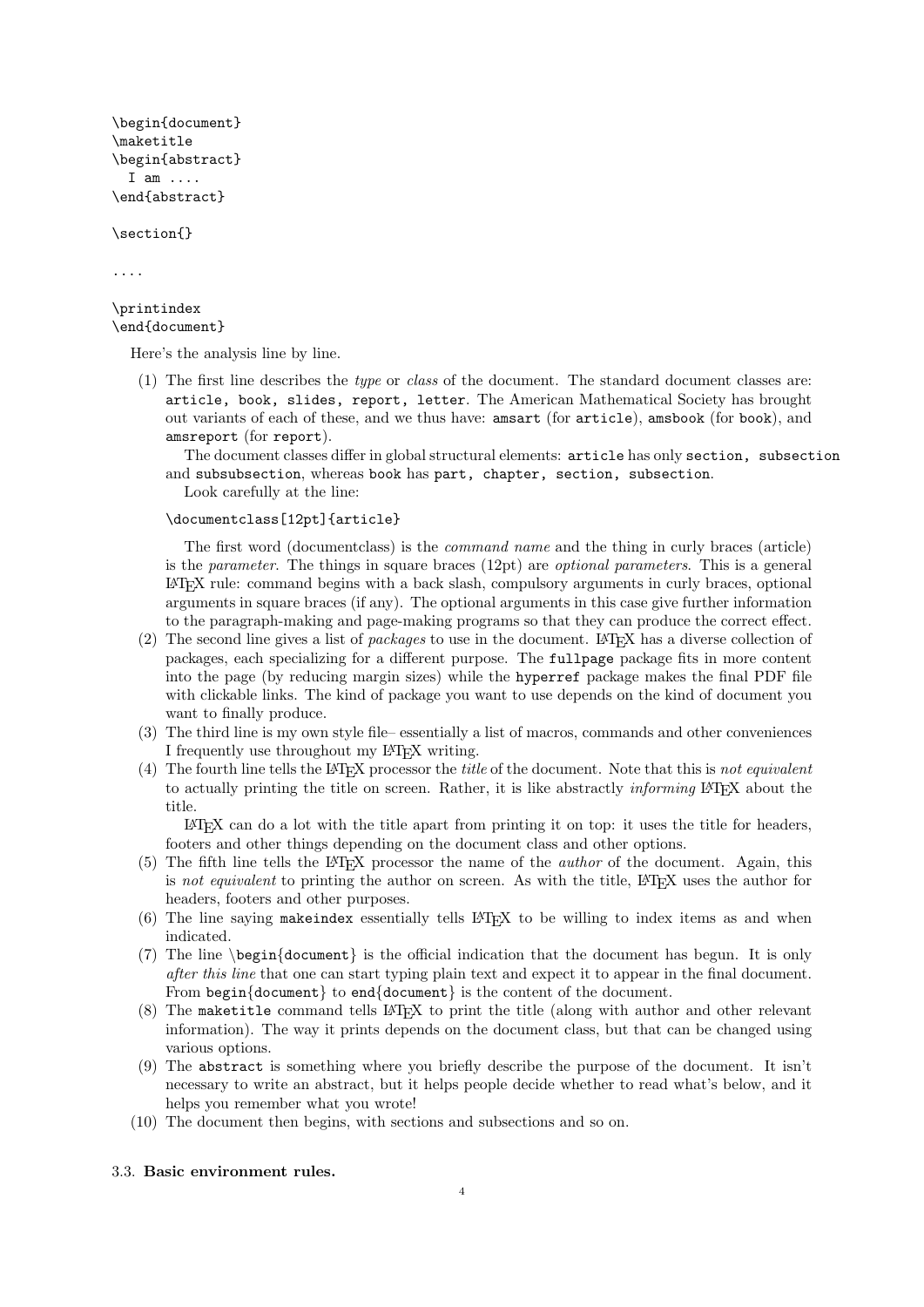```
\begin{document}
\maketitle
\begin{abstract}
 I am ....
\end{abstract}
```
\section{}

....

#### \printindex \end{document}

Here's the analysis line by line.

(1) The first line describes the type or class of the document. The standard document classes are: article, book, slides, report, letter. The American Mathematical Society has brought out variants of each of these, and we thus have: amsart (for article), amsbook (for book), and amsreport (for report).

The document classes differ in global structural elements: article has only section, subsection and subsubsection, whereas book has part, chapter, section, subsection.

Look carefully at the line:

\documentclass[12pt]{article}

The first word (documentclass) is the command name and the thing in curly braces (article) is the *parameter*. The things in square braces  $(12pt)$  are *optional parameters*. This is a general LATEX rule: command begins with a back slash, compulsory arguments in curly braces, optional arguments in square braces (if any). The optional arguments in this case give further information to the paragraph-making and page-making programs so that they can produce the correct effect.

- (2) The second line gives a list of packages to use in the document. LATEX has a diverse collection of packages, each specializing for a different purpose. The fullpage package fits in more content into the page (by reducing margin sizes) while the hyperref package makes the final PDF file with clickable links. The kind of package you want to use depends on the kind of document you want to finally produce.
- (3) The third line is my own style file– essentially a list of macros, commands and other conveniences I frequently use throughout my LATEX writing.
- (4) The fourth line tells the LAT<sub>EX</sub> processor the *title* of the document. Note that this is not equivalent to actually printing the title on screen. Rather, it is like abstractly *informing* LATEX about the title.

 $E<sub>TFX</sub>$  can do a lot with the title apart from printing it on top: it uses the title for headers, footers and other things depending on the document class and other options.

- (5) The fifth line tells the LATEX processor the name of the author of the document. Again, this is not equivalent to printing the author on screen. As with the title, LATEX uses the author for headers, footers and other purposes.
- (6) The line saying makeindex essentially tells LATEX to be willing to index items as and when indicated.
- (7) The line \begin{document} is the official indication that the document has begun. It is only after this line that one can start typing plain text and expect it to appear in the final document. From begin{document} to end{document} is the content of the document.
- (8) The maketitle command tells LATEX to print the title (along with author and other relevant information). The way it prints depends on the document class, but that can be changed using various options.
- (9) The abstract is something where you briefly describe the purpose of the document. It isn't necessary to write an abstract, but it helps people decide whether to read what's below, and it helps you remember what you wrote!
- (10) The document then begins, with sections and subsections and so on.

#### 3.3. Basic environment rules.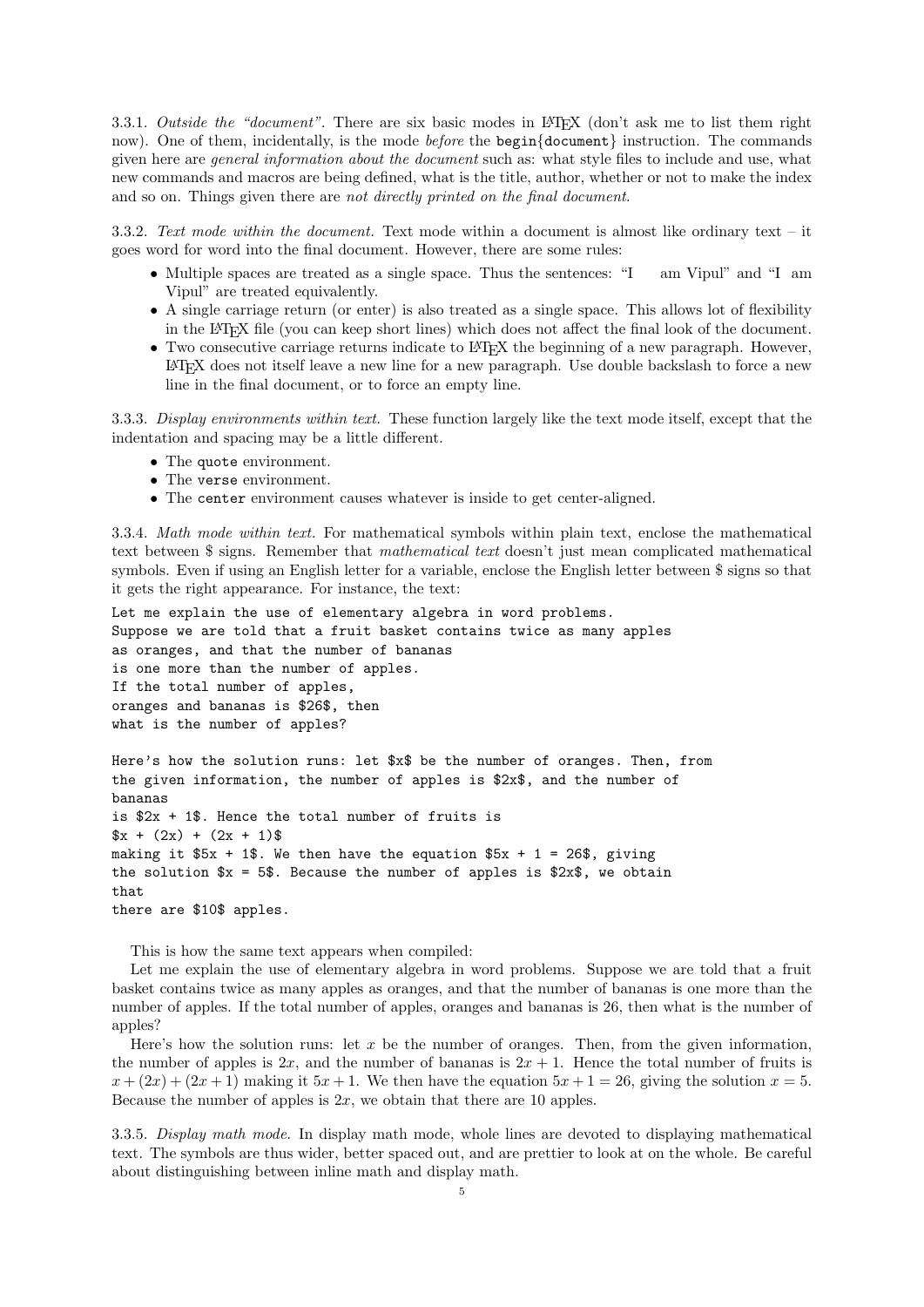<span id="page-4-1"></span>3.3.1. Outside the "document". There are six basic modes in LATEX (don't ask me to list them right now). One of them, incidentally, is the mode *before* the **begin**{document} instruction. The commands given here are general information about the document such as: what style files to include and use, what new commands and macros are being defined, what is the title, author, whether or not to make the index and so on. Things given there are not directly printed on the final document.

3.3.2. Text mode within the document. Text mode within a document is almost like ordinary text – it goes word for word into the final document. However, there are some rules:

- Multiple spaces are treated as a single space. Thus the sentences: "I am Vipul" and "I am Vipul" are treated equivalently.
- A single carriage return (or enter) is also treated as a single space. This allows lot of flexibility in the LATEX file (you can keep short lines) which does not affect the final look of the document.
- Two consecutive carriage returns indicate to LAT<sub>EX</sub> the beginning of a new paragraph. However, LATEX does not itself leave a new line for a new paragraph. Use double backslash to force a new line in the final document, or to force an empty line.

3.3.3. Display environments within text. These function largely like the text mode itself, except that the indentation and spacing may be a little different.

- The quote environment.
- The verse environment.
- The center environment causes whatever is inside to get center-aligned.

<span id="page-4-0"></span>3.3.4. Math mode within text. For mathematical symbols within plain text, enclose the mathematical text between \$ signs. Remember that mathematical text doesn't just mean complicated mathematical symbols. Even if using an English letter for a variable, enclose the English letter between \$ signs so that it gets the right appearance. For instance, the text:

Let me explain the use of elementary algebra in word problems. Suppose we are told that a fruit basket contains twice as many apples as oranges, and that the number of bananas is one more than the number of apples. If the total number of apples, oranges and bananas is \$26\$, then what is the number of apples?

Here's how the solution runs: let \$x\$ be the number of oranges. Then, from the given information, the number of apples is \$2x\$, and the number of bananas is  $2x + 1$ . Hence the total number of fruits is  $x + (2x) + (2x + 1)\$ making it  $$5x + 1$ \$. We then have the equation  $$5x + 1 = 26$ \$, giving the solution  $x = 5$ . Because the number of apples is \$2x\$, we obtain that there are \$10\$ apples.

This is how the same text appears when compiled:

Let me explain the use of elementary algebra in word problems. Suppose we are told that a fruit basket contains twice as many apples as oranges, and that the number of bananas is one more than the number of apples. If the total number of apples, oranges and bananas is 26, then what is the number of apples?

Here's how the solution runs: let  $x$  be the number of oranges. Then, from the given information, the number of apples is 2x, and the number of bananas is  $2x + 1$ . Hence the total number of fruits is  $x + (2x) + (2x + 1)$  making it  $5x + 1$ . We then have the equation  $5x + 1 = 26$ , giving the solution  $x = 5$ . Because the number of apples is  $2x$ , we obtain that there are 10 apples.

3.3.5. Display math mode. In display math mode, whole lines are devoted to displaying mathematical text. The symbols are thus wider, better spaced out, and are prettier to look at on the whole. Be careful about distinguishing between inline math and display math.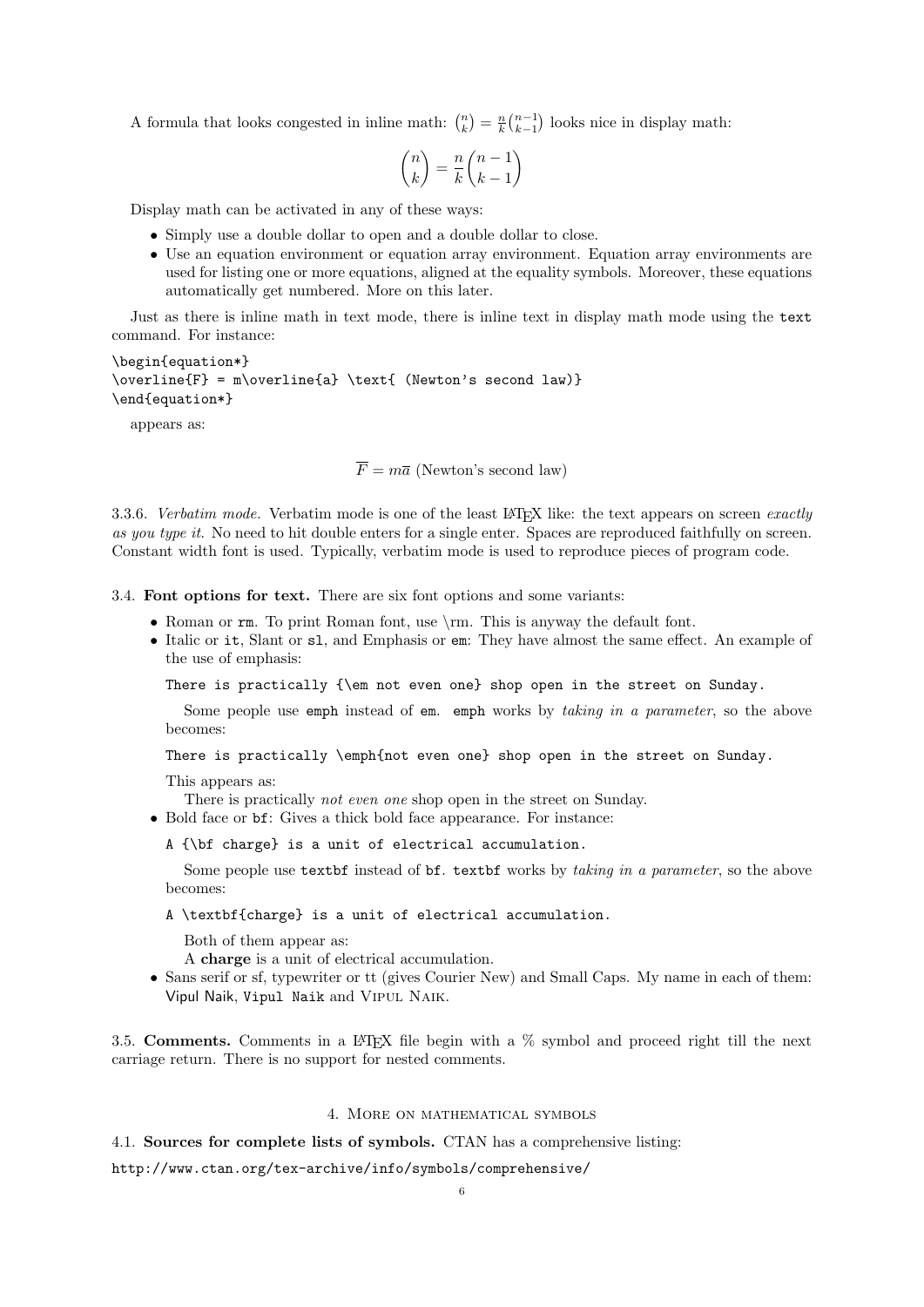<span id="page-5-0"></span>A formula that looks congested in inline math:  $\binom{n}{k} = \frac{n}{k} \binom{n-1}{k-1}$  looks nice in display math:

$$
\binom{n}{k} = \frac{n}{k} \binom{n-1}{k-1}
$$

Display math can be activated in any of these ways:

- Simply use a double dollar to open and a double dollar to close.
- Use an equation environment or equation array environment. Equation array environments are used for listing one or more equations, aligned at the equality symbols. Moreover, these equations automatically get numbered. More on this later.

Just as there is inline math in text mode, there is inline text in display math mode using the text command. For instance:

\begin{equation\*} \overline{F} = m\overline{a} \text{ (Newton's second law)} \end{equation\*}

appears as:

 $\overline{F} = m\overline{a}$  (Newton's second law)

3.3.6. Verbatim mode. Verbatim mode is one of the least LAT<sub>EX</sub> like: the text appears on screen exactly as you type it. No need to hit double enters for a single enter. Spaces are reproduced faithfully on screen. Constant width font is used. Typically, verbatim mode is used to reproduce pieces of program code.

3.4. Font options for text. There are six font options and some variants:

- Roman or  $rm$ . To print Roman font, use  $\rm \rm \,m$ . This is anyway the default font.
- Italic or it, Slant or sl, and Emphasis or em: They have almost the same effect. An example of the use of emphasis:

There is practically {\em not even one} shop open in the street on Sunday.

Some people use emph instead of em. emph works by taking in a parameter, so the above becomes:

There is practically \emph{not even one} shop open in the street on Sunday.

This appears as:

There is practically not even one shop open in the street on Sunday.

- Bold face or bf: Gives a thick bold face appearance. For instance:
	- A {\bf charge} is a unit of electrical accumulation.

Some people use textbf instead of bf. textbf works by taking in a parameter, so the above becomes:

A \textbf{charge} is a unit of electrical accumulation.

Both of them appear as:

A charge is a unit of electrical accumulation.

• Sans serif or sf, typewriter or tt (gives Courier New) and Small Caps. My name in each of them: Vipul Naik, Vipul Naik and Vipul Naik.

3.5. Comments. Comments in a LATEX file begin with a  $\%$  symbol and proceed right till the next carriage return. There is no support for nested comments.

### 4. More on mathematical symbols

4.1. Sources for complete lists of symbols. CTAN has a comprehensive listing:

http://www.ctan.org/tex-archive/info/symbols/comprehensive/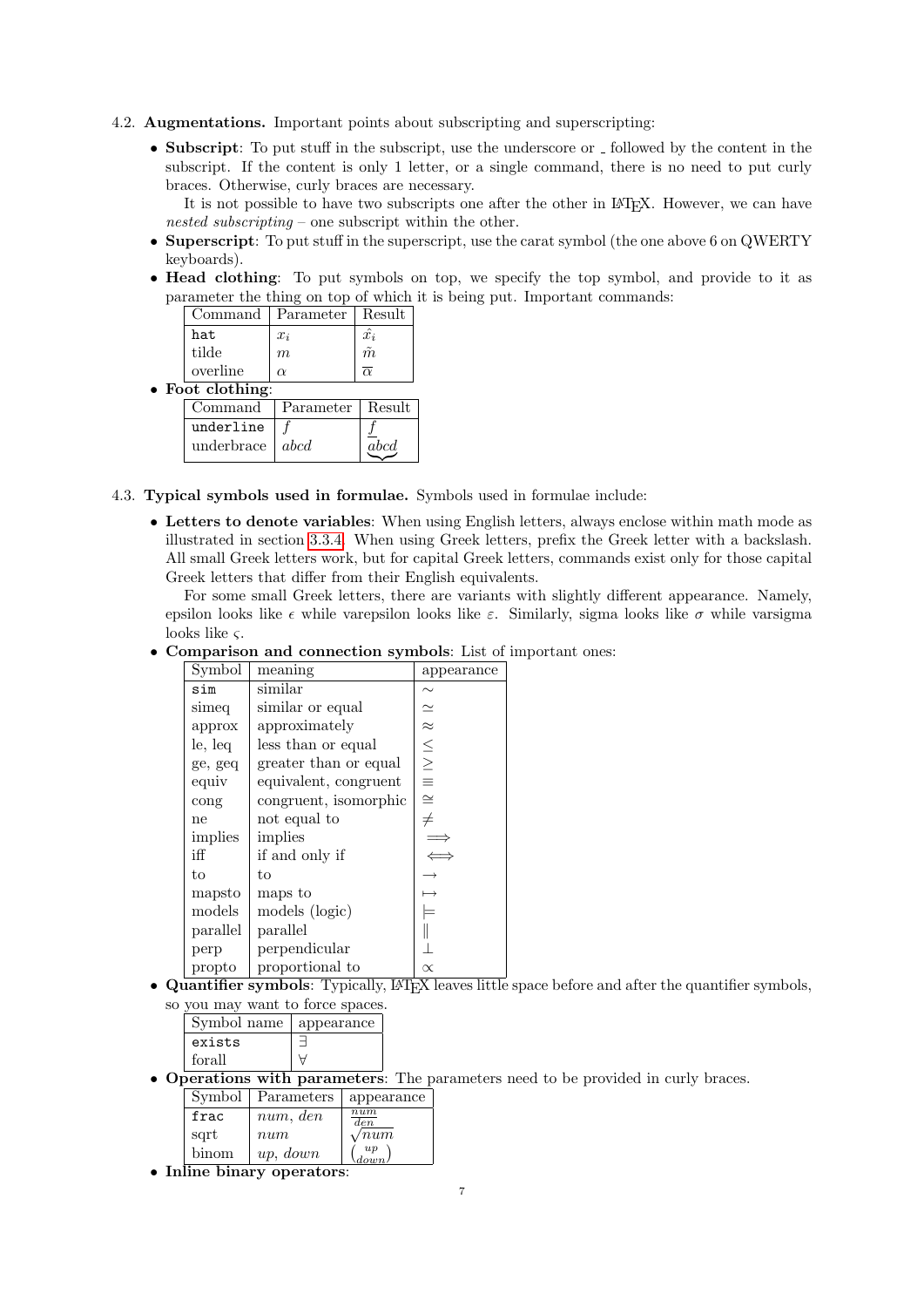- 4.2. Augmentations. Important points about subscripting and superscripting:
	- Subscript: To put stuff in the subscript, use the underscore or  $\Box$  followed by the content in the subscript. If the content is only 1 letter, or a single command, there is no need to put curly braces. Otherwise, curly braces are necessary.

It is not possible to have two subscripts one after the other in LAT<sub>EX</sub>. However, we can have nested subscripting – one subscript within the other.

- Superscript: To put stuff in the superscript, use the carat symbol (the one above 6 on QWERTY keyboards).
- Head clothing: To put symbols on top, we specify the top symbol, and provide to it as parameter the thing on top of which it is being put. Important commands:

|                          |          | Command   Parameter   Result |                       |
|--------------------------|----------|------------------------------|-----------------------|
|                          | hat      | $x_i$                        | $\hat{x_i}$           |
|                          | tilde    | m                            | $\sim$<br>$\tilde{m}$ |
|                          | overline | $\alpha$                     | $\overline{\alpha}$   |
| $\bullet$ Foot clothing: |          |                              |                       |

| Command                 | Parameter | Result |
|-------------------------|-----------|--------|
| underline               |           |        |
| underbrace $\vert$ abcd |           | abcd   |

- $\leq$ 4.3. Typical symbols used in formulae. Symbols used in formulae include:
	- Letters to denote variables: When using English letters, always enclose within math mode as illustrated in section [3.3.4.](#page-4-0) When using Greek letters, prefix the Greek letter with a backslash. All small Greek letters work, but for capital Greek letters, commands exist only for those capital Greek letters that differ from their English equivalents.

For some small Greek letters, there are variants with slightly different appearance. Namely, epsilon looks like  $\epsilon$  while varepsilon looks like  $\varepsilon$ . Similarly, sigma looks like  $\sigma$  while varsigma looks like ς.

• Comparison and connection symbols: List of important ones:

| Symbol   | meaning               | appearance    |
|----------|-----------------------|---------------|
| sim      | similar               | $\sim$        |
| simeq    | similar or equal      | $\simeq$      |
| approx   | approximately         | $\approx$     |
| le, leq  | less than or equal    |               |
| ge, geq  | greater than or equal | $\frac{1}{2}$ |
| equiv    | equivalent, congruent |               |
| cong     | congruent, isomorphic | $\cong$       |
| ne       | not equal to          | $\neq$        |
| implies  | implies               |               |
| iff      | if and only if        |               |
| to       | to                    |               |
| mapsto   | maps to               |               |
| models   | models (logic)        |               |
| parallel | parallel              |               |
| perp     | perpendicular         |               |
| propto   | proportional to       | $\propto$     |

• Quantifier symbols: Typically,  $\text{LATEX}$  leaves little space before and after the quantifier symbols,

| so you may want to force spaces. |  |  |
|----------------------------------|--|--|
| Symbol name   appearance         |  |  |
| exists                           |  |  |
| forall                           |  |  |

• Operations with parameters: The parameters need to be provided in curly braces.

|      | Symbol   Parameters   appearance |              |
|------|----------------------------------|--------------|
| frac | num, den                         | num<br>den   |
| sqrt | num                              | $\sqrt{num}$ |

up down

binom  $\vert \textit{up}, \textit{down} \vert$ • Inline binary operators: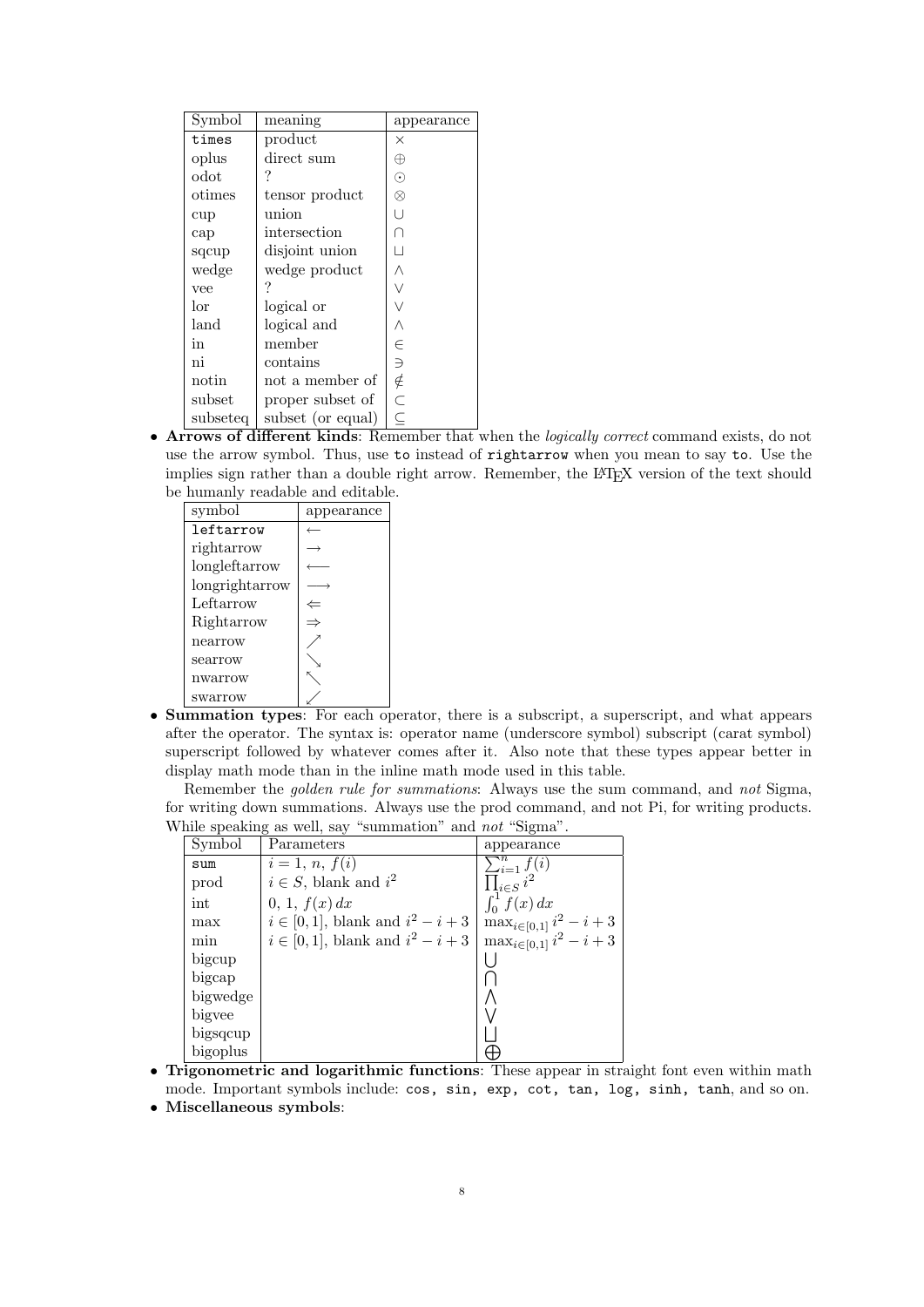| Symbol          | meaning           | appearance    |
|-----------------|-------------------|---------------|
| times           | product           | $\times$      |
| oplus           | direct sum        | ⊕             |
| $_{\rm odot}$   |                   | $_{\odot}$    |
| $_{\rm ofimes}$ | tensor product    | ⊗             |
| cup             | union             | U             |
| cap             | intersection      |               |
| sqcup           | disjoint union    | П             |
| wedge           | wedge product     | Λ             |
| vee             |                   | Ŵ             |
| lor             | logical or        |               |
| land            | logical and       | Λ             |
| in              | member            | ∈             |
| ni              | contains          | $\Rightarrow$ |
| notin           | not a member of   | ∉             |
| subset          | proper subset of  | .<br>C        |
| subseteg        | subset (or equal) | $\subseteq$   |

• Arrows of different kinds: Remember that when the logically correct command exists, do not use the arrow symbol. Thus, use to instead of rightarrow when you mean to say to. Use the implies sign rather than a double right arrow. Remember, the L<sup>AT</sup>EX version of the text should be humanly readable and editable.

| appearance |
|------------|
|            |
|            |
|            |
|            |
|            |
|            |
|            |
|            |
|            |
|            |
|            |

• Summation types: For each operator, there is a subscript, a superscript, and what appears after the operator. The syntax is: operator name (underscore symbol) subscript (carat symbol) superscript followed by whatever comes after it. Also note that these types appear better in display math mode than in the inline math mode used in this table.

Remember the *golden rule for summations*: Always use the sum command, and *not* Sigma, for writing down summations. Always use the prod command, and not Pi, for writing products. While speaking as well, say "summation" and not "Sigma".

| Symbol               | Parameters                              | appearance                       |
|----------------------|-----------------------------------------|----------------------------------|
| sum                  | $i = 1, n, f(i)$                        | $\sum_{i=1}^{\infty} f(i)$       |
| prod                 | $i \in S$ , blank and $i^2$             | $\prod_{i\in S} i^2$             |
| $\operatorname{int}$ | 0, 1, f(x) dx                           | $\int_0^1 f(x) dx$               |
| max                  | $i \in [0,1]$ , blank and $i^2 - i + 3$ | $\max_{i \in [0,1]} i^2 - i + 3$ |
| min                  | $i \in [0,1]$ , blank and $i^2 - i + 3$ | $\max_{i \in [0,1]} i^2 - i + 3$ |
| bigcup               |                                         |                                  |
| bigcap               |                                         |                                  |
| bigwedge             |                                         |                                  |
| bigvee               |                                         |                                  |
| bigsqcup             |                                         |                                  |
| bigoplus             |                                         |                                  |

• Trigonometric and logarithmic functions: These appear in straight font even within math mode. Important symbols include: cos, sin, exp, cot, tan, log, sinh, tanh, and so on.

• Miscellaneous symbols: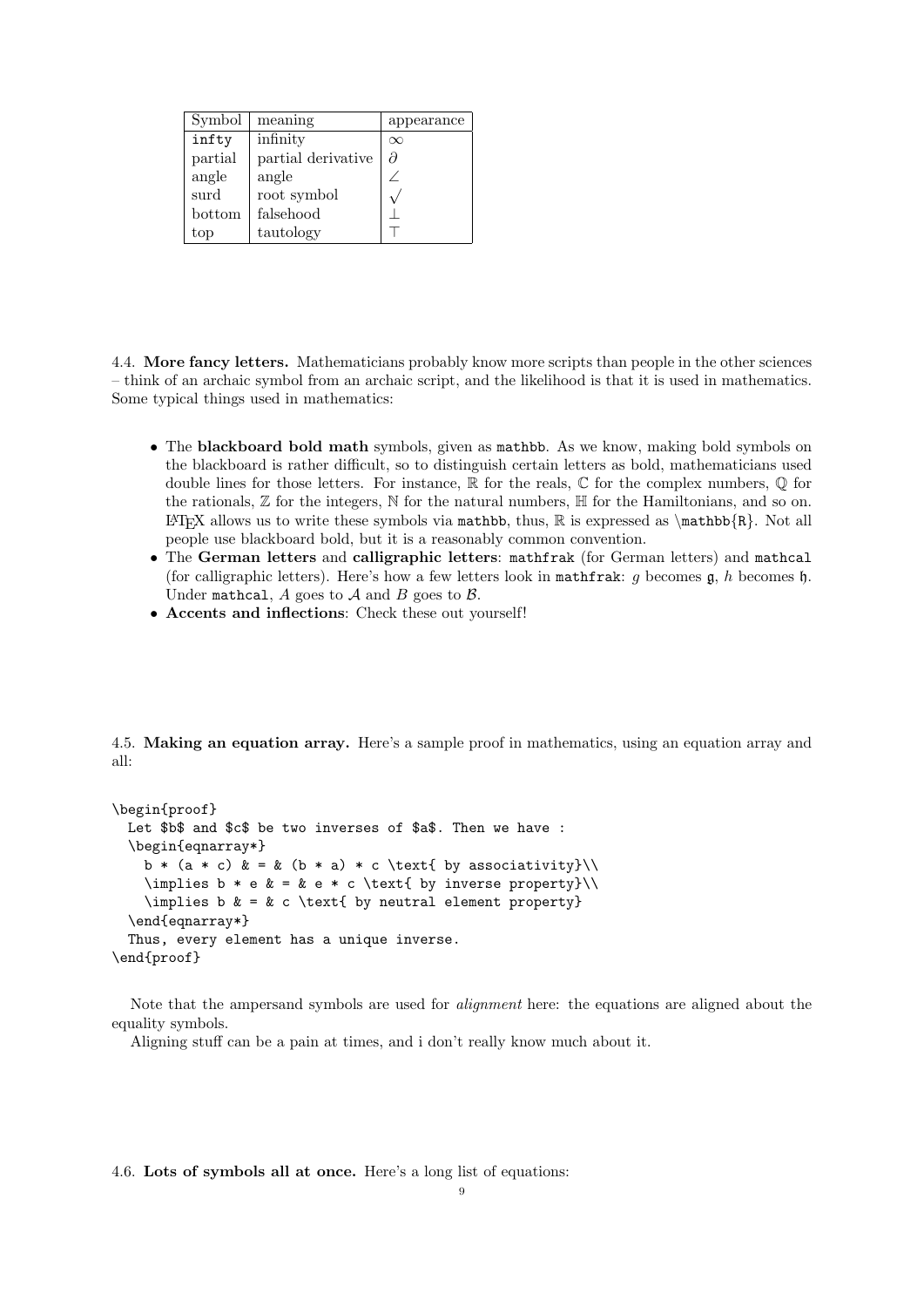| Symbol  | meaning            | appearance |
|---------|--------------------|------------|
| infty   | infinity           | $\infty$   |
| partial | partial derivative | д          |
| angle   | angle              |            |
| surd    | root symbol        |            |
| bottom  | falsehood          |            |
| top     | tautology          |            |

4.4. More fancy letters. Mathematicians probably know more scripts than people in the other sciences – think of an archaic symbol from an archaic script, and the likelihood is that it is used in mathematics. Some typical things used in mathematics:

- The blackboard bold math symbols, given as mathbb. As we know, making bold symbols on the blackboard is rather difficult, so to distinguish certain letters as bold, mathematicians used double lines for those letters. For instance,  $\mathbb R$  for the reals,  $\mathbb C$  for the complex numbers,  $\mathbb Q$  for the rationals,  $\mathbb Z$  for the integers,  $\mathbb N$  for the natural numbers,  $\mathbb H$  for the Hamiltonians, and so on. LATEX allows us to write these symbols via mathbb, thus,  $\mathbb{R}$  is expressed as  $\mathbb{R}$ . Not all people use blackboard bold, but it is a reasonably common convention.
- The German letters and calligraphic letters: mathfrak (for German letters) and mathcal (for calligraphic letters). Here's how a few letters look in mathfrak: g becomes  $\mathfrak{g}$ , h becomes  $\mathfrak{h}$ . Under mathcal,  $A$  goes to  $A$  and  $B$  goes to  $B$ .
- Accents and inflections: Check these out yourself!

<span id="page-8-0"></span>4.5. Making an equation array. Here's a sample proof in mathematics, using an equation array and all:

```
\begin{proof}
 Let $b$ and $c$ be two inverses of $a$. Then we have :
  \begin{eqnarray*}
    b * (a * c) & = & (b * a) * c \text{ by associativity}\\implies b * e & = k e * c \text{ by inverse property}\\implies b \& = \& c \text{ by neutral element property}\end{eqnarray*}
 Thus, every element has a unique inverse.
\end{proof}
```
Note that the ampersand symbols are used for alignment here: the equations are aligned about the equality symbols.

Aligning stuff can be a pain at times, and i don't really know much about it.

### 4.6. Lots of symbols all at once. Here's a long list of equations: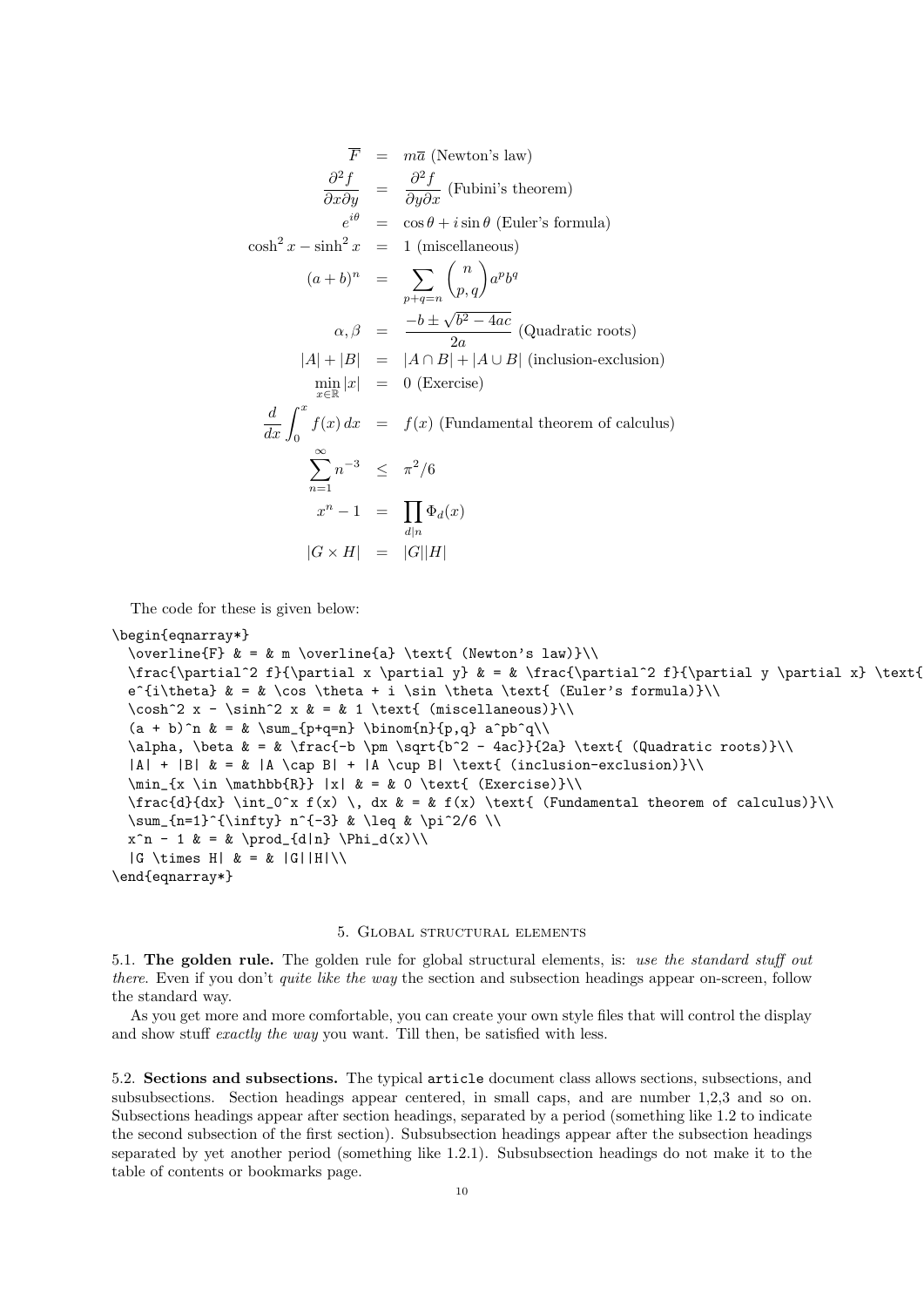$$
\overline{F} = m\overline{a} \text{ (Newton's law)}
$$
\n
$$
\frac{\partial^2 f}{\partial x \partial y} = \frac{\partial^2 f}{\partial y \partial x} \text{ (Fubini's theorem)}
$$
\n
$$
e^{i\theta} = \cos \theta + i \sin \theta \text{ (Euler's formula)}
$$
\n
$$
\cosh^2 x - \sinh^2 x = 1 \text{ (miscellaneous)}
$$
\n
$$
(a+b)^n = \sum_{p+q=n} {n \choose p,q} a^p b^q
$$
\n
$$
\alpha, \beta = \frac{-b \pm \sqrt{b^2 - 4ac}}{2a} \text{ (Quadratic roots)}
$$
\n
$$
|A| + |B| = |A \cap B| + |A \cup B| \text{ (inclusion-exclusion)}
$$
\n
$$
\min_{x \in \mathbb{R}} |x| = 0 \text{ (Exercise)}
$$
\n
$$
\frac{d}{dx} \int_0^x f(x) dx = f(x) \text{ (Fundamental theorem of calculus)}
$$
\n
$$
\sum_{n=1}^\infty n^{-3} \leq \pi^2/6
$$
\n
$$
x^n - 1 = \prod_{d|n} \Phi_d(x)
$$
\n
$$
|G \times H| = |G||H|
$$

The code for these is given below:

```
\begin{eqnarray*}
```

```
\overline{F} \& = \& \mtext{ a} \text{ (Newton's law)}\\frac{\partial^2 f}{\partial x \partial y} & = & \frac{\partial^2 f}{\partial y \partial x} \text{
 e^{i\theta} & = & \cos \theta + i \sin \theta \text{ (Euler's formula)}\\
 \cosh^2 x - \sinh^2 x & = & 1 \text{ (miscellaneous)}\\
  (a + b)^n & = & \sum_{p+q=n} \binom{n}{p,q} a^pb^q\\
 \alpha, \beta & = & \frac{-b \pm \sqrt{b^2 - 4ac}}{2a} \text{ (Quadratic roots)}\\
  |A| + |B| & = & |A \cap B| + |A \cup B| \text{ (inclusion-exclusion)}\\
 \min_{x \in \mathbb{R}} |x| & = & 0 \text{ (Exercise)}\\
 \frac{d}{dx} \int_0^x f(x) \, dx & = & f(x) \text{ (Fundamental theorem of calculus)}\\
 \sum_{n=1}^{\infty} n^{-3} & \leq & \pi^2/6 \\
 x^n - 1 & = & \prod_{d|n} \Phi_d(x)\\
  |G \times H| \& = \& |G||H|\&\end{eqnarray*}
```
## 5. Global structural elements

5.1. The golden rule. The golden rule for global structural elements, is: use the standard stuff out there. Even if you don't *quite like the way* the section and subsection headings appear on-screen, follow the standard way.

As you get more and more comfortable, you can create your own style files that will control the display and show stuff exactly the way you want. Till then, be satisfied with less.

5.2. Sections and subsections. The typical article document class allows sections, subsections, and subsubsections. Section headings appear centered, in small caps, and are number 1,2,3 and so on. Subsections headings appear after section headings, separated by a period (something like 1.2 to indicate the second subsection of the first section). Subsubsection headings appear after the subsection headings separated by yet another period (something like 1.2.1). Subsubsection headings do not make it to the table of contents or bookmarks page.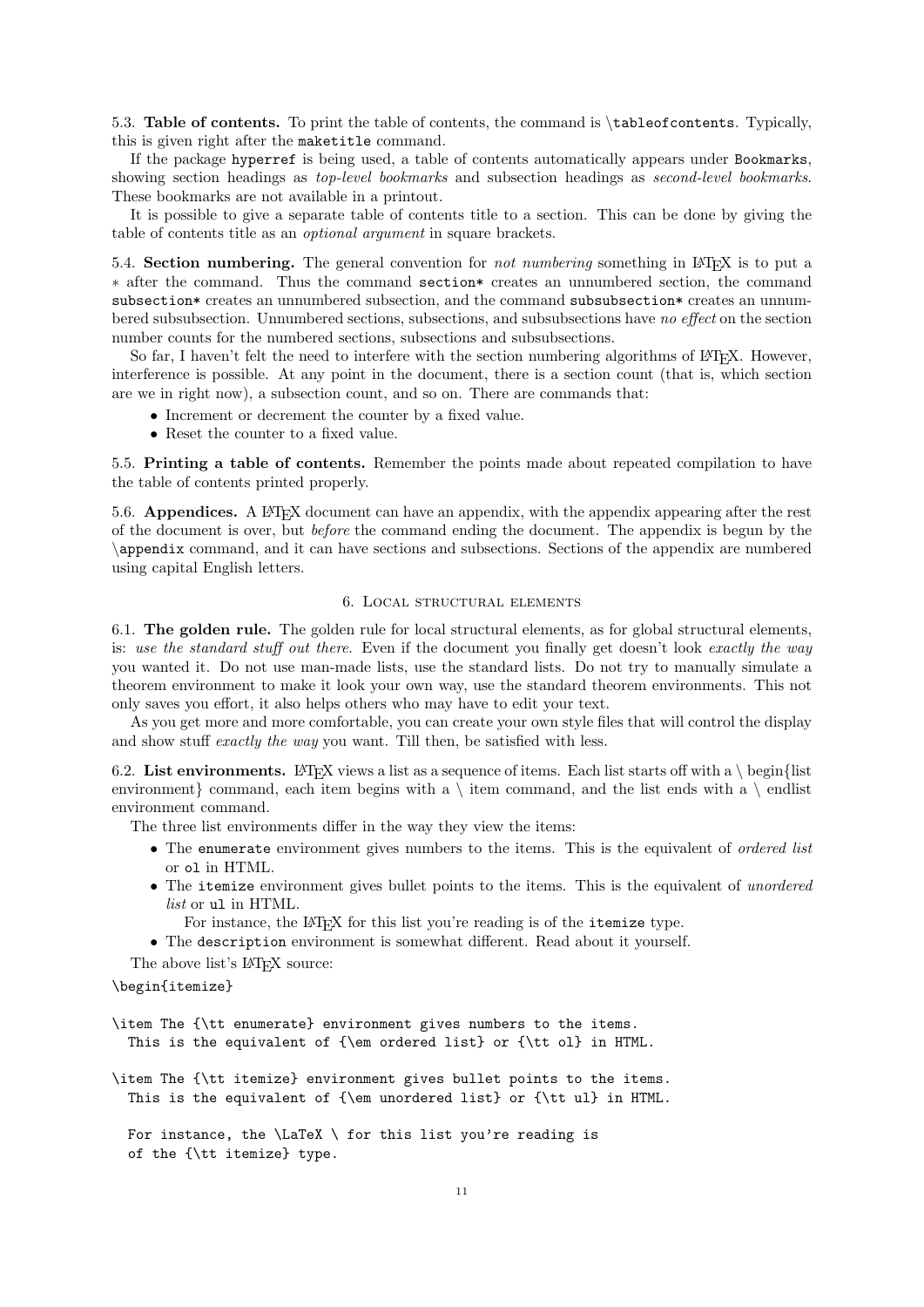<span id="page-10-0"></span>5.3. Table of contents. To print the table of contents, the command is \tableofcontents. Typically, this is given right after the maketitle command.

If the package hyperref is being used, a table of contents automatically appears under Bookmarks, showing section headings as *top-level bookmarks* and subsection headings as *second-level bookmarks*. These bookmarks are not available in a printout.

It is possible to give a separate table of contents title to a section. This can be done by giving the table of contents title as an optional argument in square brackets.

5.4. Section numbering. The general convention for *not numbering* something in L<sup>AT</sup>EX is to put a ∗ after the command. Thus the command section\* creates an unnumbered section, the command subsection\* creates an unnumbered subsection, and the command subsubsection\* creates an unnumbered subsubsection. Unnumbered sections, subsections, and subsubsections have no effect on the section number counts for the numbered sections, subsections and subsubsections.

So far, I haven't felt the need to interfere with the section numbering algorithms of LATEX. However, interference is possible. At any point in the document, there is a section count (that is, which section are we in right now), a subsection count, and so on. There are commands that:

- Increment or decrement the counter by a fixed value.
- Reset the counter to a fixed value.

5.5. Printing a table of contents. Remember the points made about repeated compilation to have the table of contents printed properly.

5.6. Appendices. A LAT<sub>EX</sub> document can have an appendix, with the appendix appearing after the rest of the document is over, but before the command ending the document. The appendix is begun by the \appendix command, and it can have sections and subsections. Sections of the appendix are numbered using capital English letters.

### 6. Local structural elements

6.1. The golden rule. The golden rule for local structural elements, as for global structural elements, is: use the standard stuff out there. Even if the document you finally get doesn't look exactly the way you wanted it. Do not use man-made lists, use the standard lists. Do not try to manually simulate a theorem environment to make it look your own way, use the standard theorem environments. This not only saves you effort, it also helps others who may have to edit your text.

As you get more and more comfortable, you can create your own style files that will control the display and show stuff exactly the way you want. Till then, be satisfied with less.

6.2. List environments. LATEX views a list as a sequence of items. Each list starts off with a  $\epsilon$  begin{list environment} command, each item begins with a  $\iota$  item command, and the list ends with a  $\iota$  endlist environment command.

The three list environments differ in the way they view the items:

- The enumerate environment gives numbers to the items. This is the equivalent of *ordered list* or ol in HTML.
- The itemize environment gives bullet points to the items. This is the equivalent of unordered list or ul in HTML.

For instance, the LAT<sub>EX</sub> for this list you're reading is of the itemize type.

• The description environment is somewhat different. Read about it yourself.

The above list's L<sup>AT</sup>FX source:

### \begin{itemize}

\item The {\tt enumerate} environment gives numbers to the items. This is the equivalent of {\em ordered list} or {\tt ol} in HTML.

\item The {\tt itemize} environment gives bullet points to the items. This is the equivalent of {\em unordered list} or {\tt ul} in HTML.

For instance, the  $\text{LaTeX} \setminus$  for this list you're reading is of the {\tt itemize} type.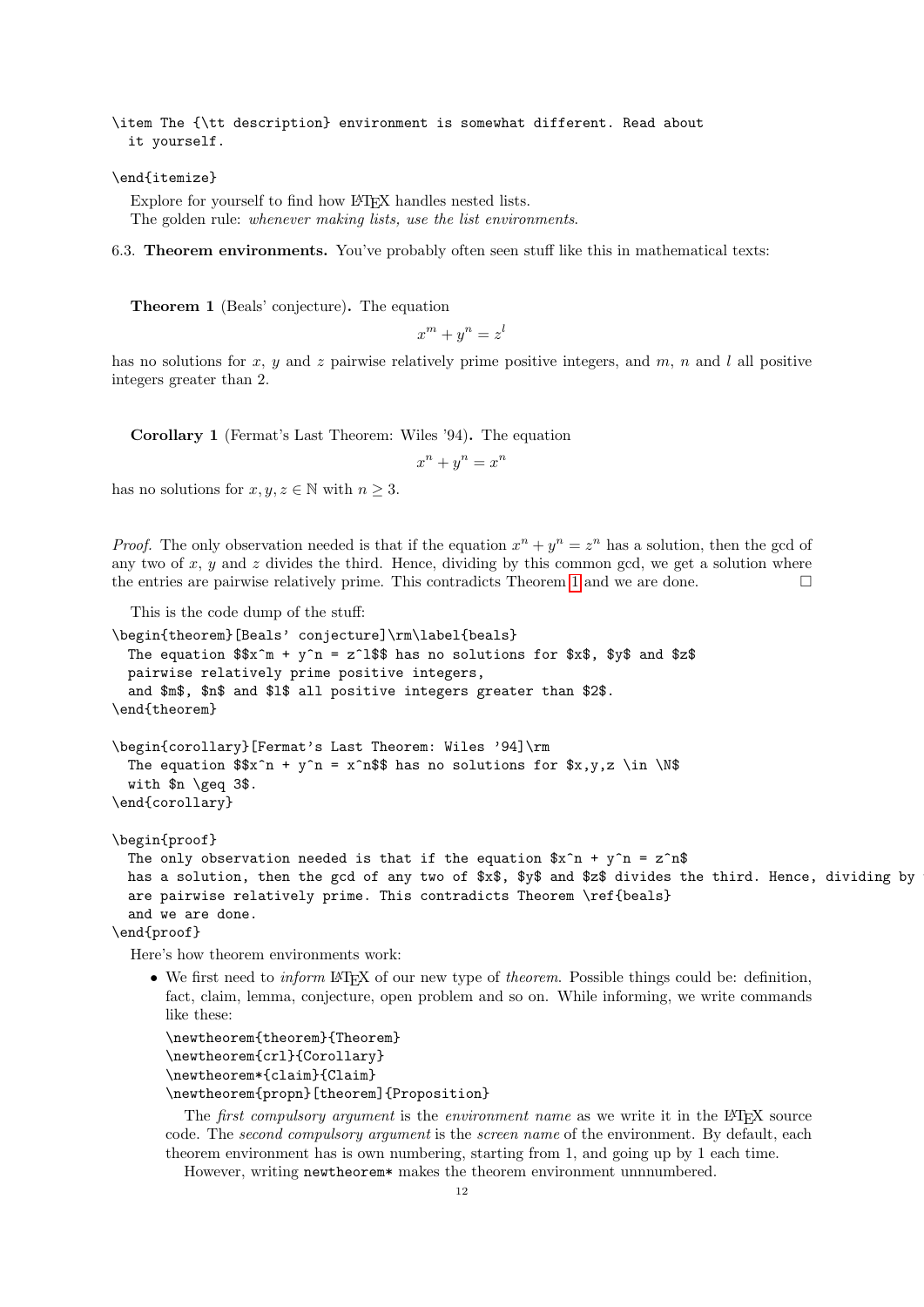\item The {\tt description} environment is somewhat different. Read about it yourself.

#### \end{itemize}

Explore for yourself to find how LAT<sub>EX</sub> handles nested lists. The golden rule: whenever making lists, use the list environments.

<span id="page-11-1"></span><span id="page-11-0"></span>6.3. Theorem environments. You've probably often seen stuff like this in mathematical texts:

Theorem 1 (Beals' conjecture). The equation

 $x^m + y^n = z^l$ 

has no solutions for x, y and z pairwise relatively prime positive integers, and  $m$ , n and l all positive integers greater than 2.

Corollary 1 (Fermat's Last Theorem: Wiles '94). The equation

 $x^n + y^n = x^n$ 

has no solutions for  $x, y, z \in \mathbb{N}$  with  $n \geq 3$ .

*Proof.* The only observation needed is that if the equation  $x^n + y^n = z^n$  has a solution, then the gcd of any two of x,  $y$  and z divides the third. Hence, dividing by this common gcd, we get a solution where the entries are pairwise relatively prime. This contradicts Theorem [1](#page-11-0) and we are done.

This is the code dump of the stuff:

```
\begin{theorem}[Beals' conjecture]\rm\label{beals}
 The equation x^* + y^n = z^1$ has no solutions for $x$, $y$ and $z$
 pairwise relatively prime positive integers,
 and $m$, $n$ and $l$ all positive integers greater than $2$.
\end{theorem}
\begin{corollary}[Fermat's Last Theorem: Wiles '94]\rm
 The equation x^n + y^n = x^n$ has no solutions for x,y,z \in \Nwith $n \geq 3$.
\end{corollary}
\begin{proof}
 The only observation needed is that if the equation x^n + y^n = z^nhas a solution, then the gcd of any two of x\, y\ and z\ divides the third. Hence, dividing by
 are pairwise relatively prime. This contradicts Theorem \ref{beals}
 and we are done.
\end{proof}
```
Here's how theorem environments work:

• We first need to *inform* LATEX of our new type of *theorem*. Possible things could be: definition, fact, claim, lemma, conjecture, open problem and so on. While informing, we write commands like these:

```
\newtheorem{theorem}{Theorem}
\newtheorem{crl}{Corollary}
\newtheorem*{claim}{Claim}
\newtheorem{propn}[theorem]{Proposition}
```
The *first compulsory argument* is the *environment name* as we write it in the LAT<sub>EX</sub> source code. The second compulsory argument is the screen name of the environment. By default, each theorem environment has is own numbering, starting from 1, and going up by 1 each time.

However, writing newtheorem\* makes the theorem environment unnnumbered.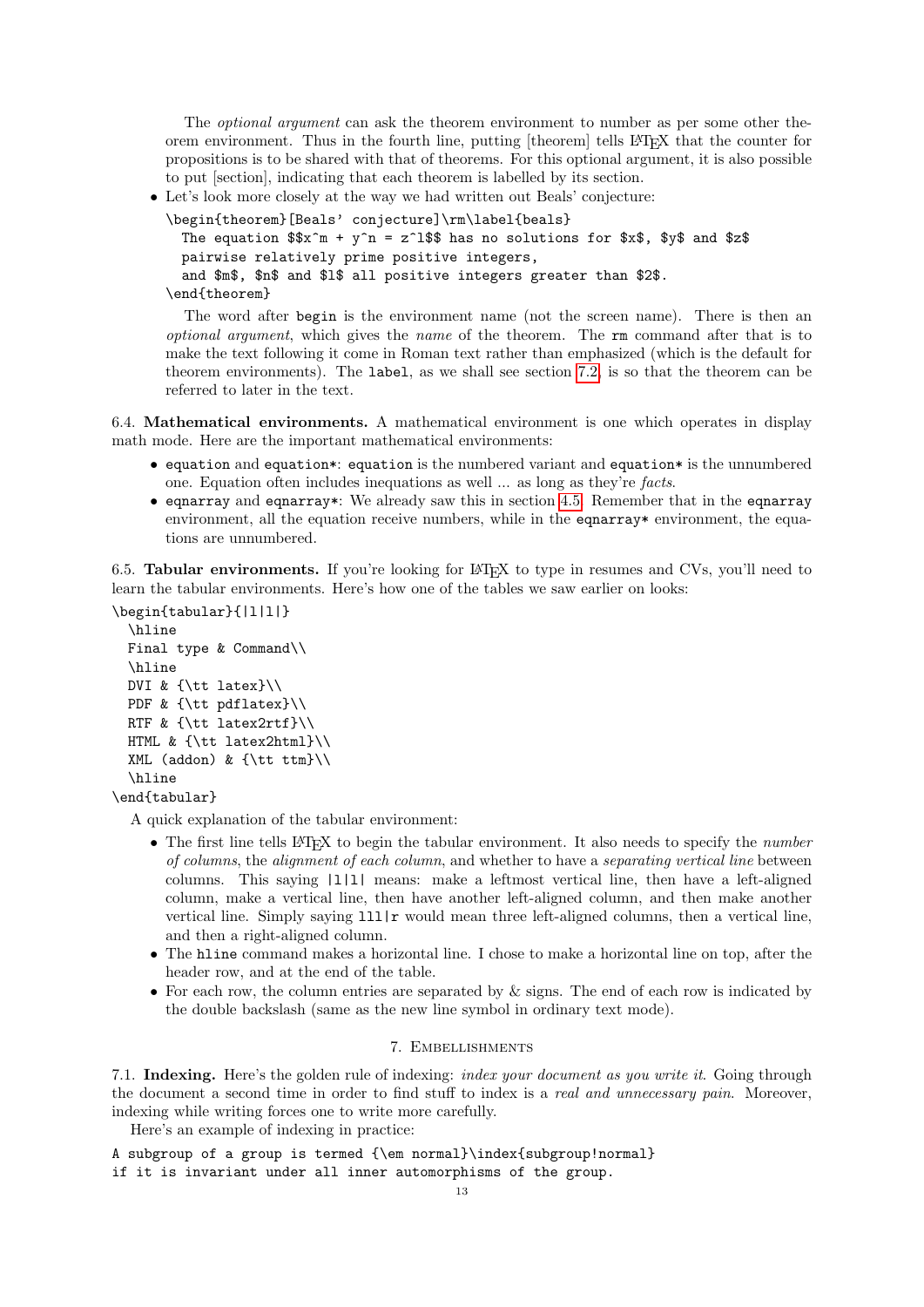<span id="page-12-0"></span>The *optional argument* can ask the theorem environment to number as per some other theorem environment. Thus in the fourth line, putting [theorem] tells LATEX that the counter for propositions is to be shared with that of theorems. For this optional argument, it is also possible to put [section], indicating that each theorem is labelled by its section.

• Let's look more closely at the way we had written out Beals' conjecture:

```
\begin{theorem}[Beals' conjecture]\rm\label{beals}
 The equation x^* = y^n = z^1$ has no solutions for x^* = x^* + y^* and z^* = z^npairwise relatively prime positive integers,
 and $m$, $n$ and $l$ all positive integers greater than $2$.
\end{theorem}
```
The word after begin is the environment name (not the screen name). There is then an optional argument, which gives the name of the theorem. The rm command after that is to make the text following it come in Roman text rather than emphasized (which is the default for theorem environments). The label, as we shall see section [7.2,](#page-13-0) is so that the theorem can be referred to later in the text.

6.4. Mathematical environments. A mathematical environment is one which operates in display math mode. Here are the important mathematical environments:

- equation and equation\*: equation is the numbered variant and equation\* is the unnumbered one. Equation often includes inequations as well ... as long as they're facts.
- eqnarray and eqnarray\*: We already saw this in section [4.5.](#page-8-0) Remember that in the eqnarray environment, all the equation receive numbers, while in the equations environment, the equations are unnumbered.

6.5. **Tabular environments.** If you're looking for LAT<sub>EX</sub> to type in resumes and CVs, you'll need to learn the tabular environments. Here's how one of the tables we saw earlier on looks:

```
\begin{tabular}{|l|l|}
 \hline
 Final type & Command\\
 \hline
 DVI & {\tt latex}\\
 PDF & {\tt pdflatex}\\
 RTF & {\tt latex2rtf}\\
 HTML & {\tt latex2html}\\
 XML (addon) & {\tt ttm}\\
 \hline
\end{tabular}
```
A quick explanation of the tabular environment:

- The first line tells LAT<sub>EX</sub> to begin the tabular environment. It also needs to specify the *number* of columns, the alignment of each column, and whether to have a separating vertical line between columns. This saying |l|l| means: make a leftmost vertical line, then have a left-aligned column, make a vertical line, then have another left-aligned column, and then make another vertical line. Simply saying  $111 | r$  would mean three left-aligned columns, then a vertical line, and then a right-aligned column.
- The hline command makes a horizontal line. I chose to make a horizontal line on top, after the header row, and at the end of the table.
- For each row, the column entries are separated by  $\&$  signs. The end of each row is indicated by the double backslash (same as the new line symbol in ordinary text mode).

## 7. Embellishments

7.1. Indexing. Here's the golden rule of indexing: *index your document as you write it*. Going through the document a second time in order to find stuff to index is a *real and unnecessary pain*. Moreover, indexing while writing forces one to write more carefully.

Here's an example of indexing in practice:

A subgroup of a group is termed {\em normal}\index{subgroup!normal} if it is invariant under all inner automorphisms of the group.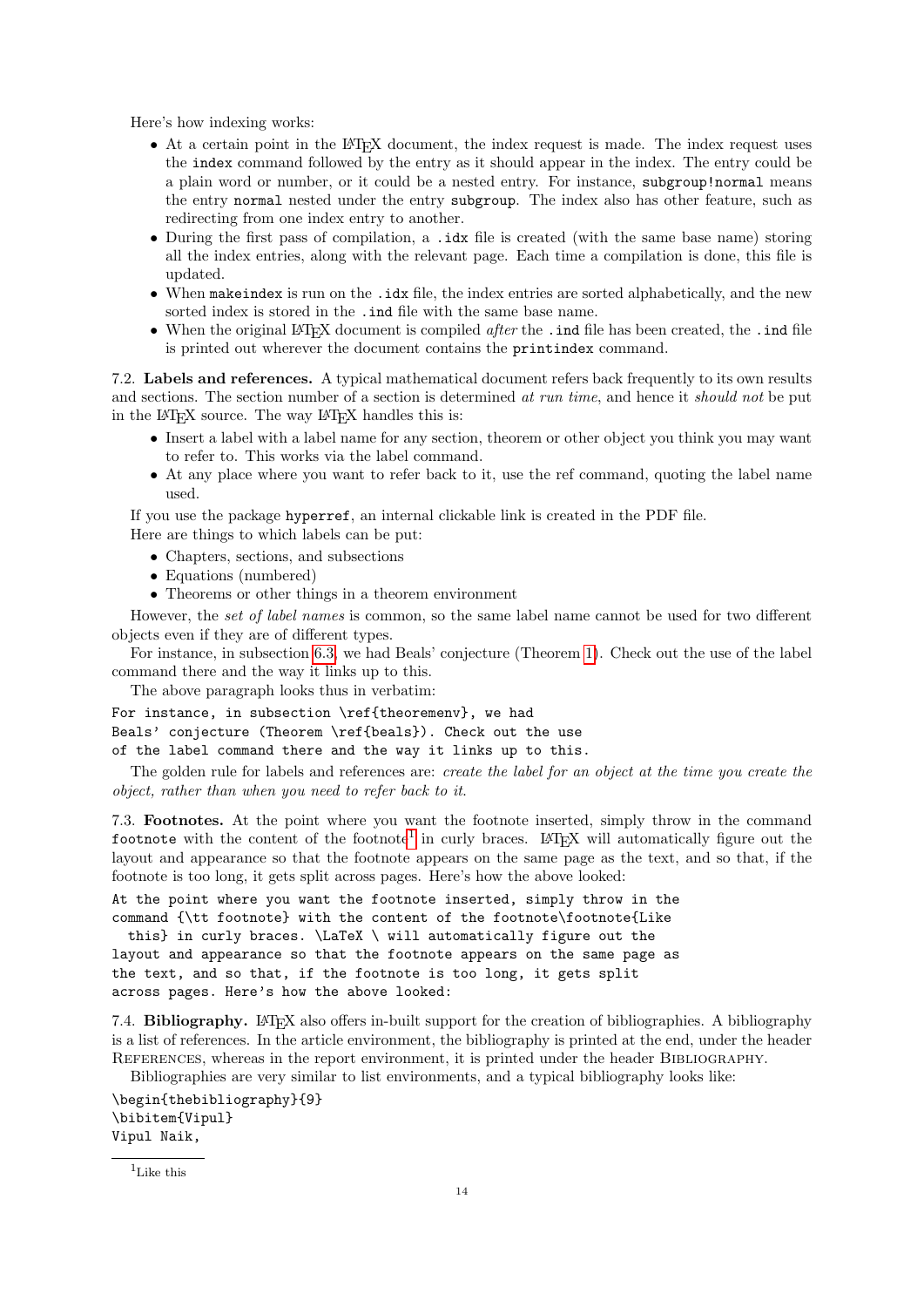<span id="page-13-2"></span>Here's how indexing works:

- At a certain point in the LATEX document, the index request is made. The index request uses the index command followed by the entry as it should appear in the index. The entry could be a plain word or number, or it could be a nested entry. For instance, subgroup!normal means the entry normal nested under the entry subgroup. The index also has other feature, such as redirecting from one index entry to another.
- During the first pass of compilation, a .idx file is created (with the same base name) storing all the index entries, along with the relevant page. Each time a compilation is done, this file is updated.
- When makeindex is run on the .idx file, the index entries are sorted alphabetically, and the new sorted index is stored in the .ind file with the same base name.
- When the original LATEX document is compiled *after* the . ind file has been created, the . ind file is printed out wherever the document contains the printindex command.

<span id="page-13-0"></span>7.2. Labels and references. A typical mathematical document refers back frequently to its own results and sections. The section number of a section is determined at run time, and hence it should not be put in the L<sup>AT</sup>EX source. The way L<sup>A</sup>TEX handles this is:

- Insert a label with a label name for any section, theorem or other object you think you may want to refer to. This works via the label command.
- At any place where you want to refer back to it, use the ref command, quoting the label name used.

If you use the package hyperref, an internal clickable link is created in the PDF file. Here are things to which labels can be put:

- Chapters, sections, and subsections
- Equations (numbered)
- Theorems or other things in a theorem environment

However, the set of label names is common, so the same label name cannot be used for two different objects even if they are of different types.

For instance, in subsection [6.3,](#page-11-1) we had Beals' conjecture (Theorem [1\)](#page-11-0). Check out the use of the label command there and the way it links up to this.

The above paragraph looks thus in verbatim:

For instance, in subsection \ref{theoremenv}, we had Beals' conjecture (Theorem \ref{beals}). Check out the use of the label command there and the way it links up to this.

The golden rule for labels and references are: *create the label for an object at the time you create the* object, rather than when you need to refer back to it.

7.3. Footnotes. At the point where you want the footnote inserted, simply throw in the command footnote with the content of the footnote<sup>[1](#page-13-1)</sup> in curly braces. LAT<sub>E</sub>X will automatically figure out the layout and appearance so that the footnote appears on the same page as the text, and so that, if the footnote is too long, it gets split across pages. Here's how the above looked:

At the point where you want the footnote inserted, simply throw in the command {\tt footnote} with the content of the footnote\footnote{Like

this} in curly braces.  $\text{UnText} \ will automatically figure out the$ layout and appearance so that the footnote appears on the same page as the text, and so that, if the footnote is too long, it gets split across pages. Here's how the above looked:

7.4. Bibliography. LATEX also offers in-built support for the creation of bibliographies. A bibliography is a list of references. In the article environment, the bibliography is printed at the end, under the header REFERENCES, whereas in the report environment, it is printed under the header BIBLIOGRAPHY.

Bibliographies are very similar to list environments, and a typical bibliography looks like:

\begin{thebibliography}{9} \bibitem{Vipul} Vipul Naik,

<span id="page-13-1"></span> $1$ Like this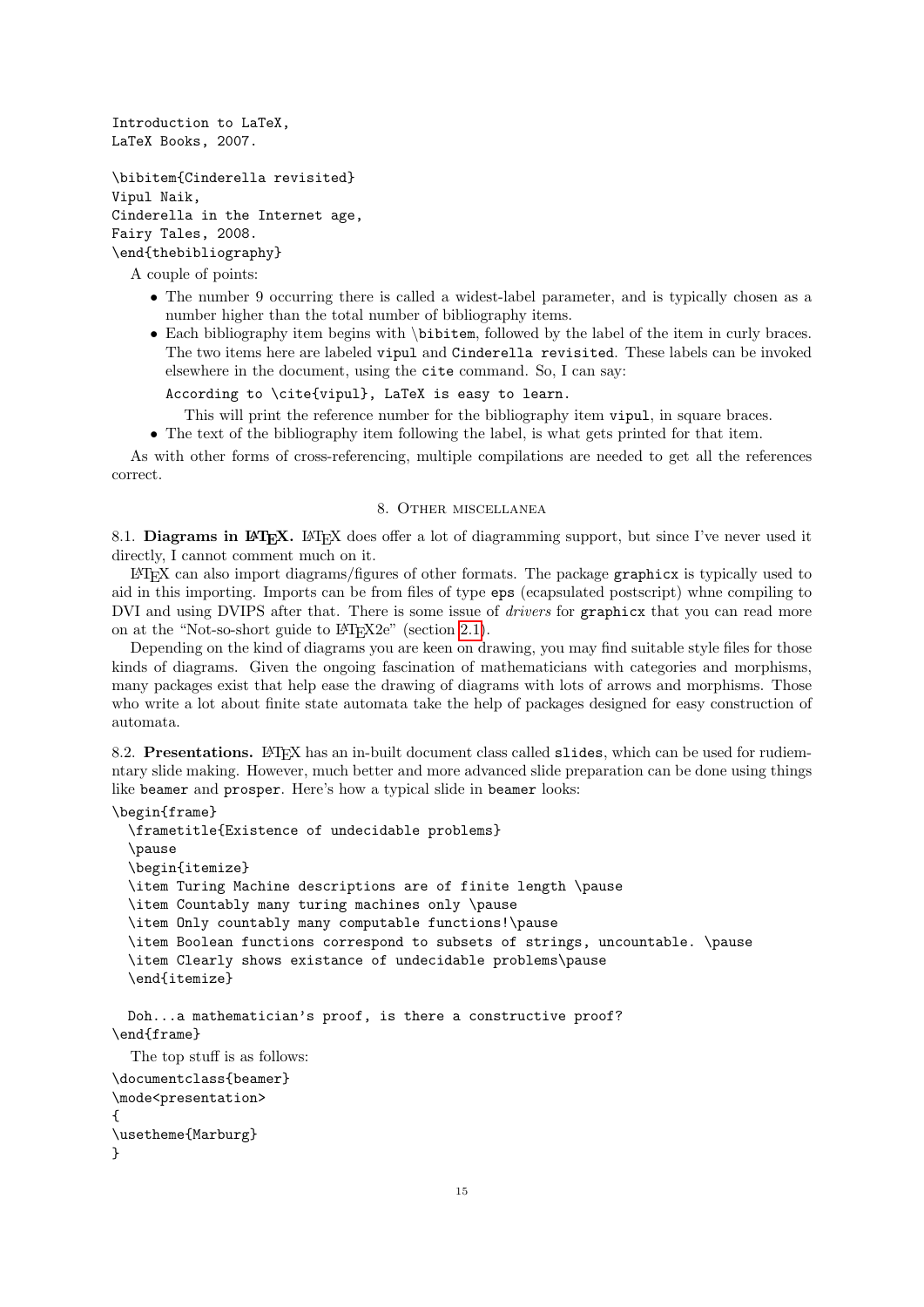<span id="page-14-0"></span>Introduction to LaTeX, LaTeX Books, 2007.

```
\bibitem{Cinderella revisited}
Vipul Naik,
Cinderella in the Internet age,
Fairy Tales, 2008.
\end{thebibliography}
```
A couple of points:

- The number 9 occurring there is called a widest-label parameter, and is typically chosen as a number higher than the total number of bibliography items.
- Each bibliography item begins with \bibitem, followed by the label of the item in curly braces. The two items here are labeled vipul and Cinderella revisited. These labels can be invoked elsewhere in the document, using the cite command. So, I can say:

```
According to \cite{vipul}, LaTeX is easy to learn.
```
This will print the reference number for the bibliography item vipul, in square braces.

• The text of the bibliography item following the label, is what gets printed for that item.

As with other forms of cross-referencing, multiple compilations are needed to get all the references correct.

### 8. Other miscellanea

8.1. Diagrams in LAT<sub>E</sub>X. LAT<sub>E</sub>X does offer a lot of diagramming support, but since I've never used it directly, I cannot comment much on it.

LATEX can also import diagrams/figures of other formats. The package graphicx is typically used to aid in this importing. Imports can be from files of type eps (ecapsulated postscript) whne compiling to DVI and using DVIPS after that. There is some issue of *drivers* for graphicx that you can read more on at the "Not-so-short guide to L<sup>AT</sup>FX2e" (section [2.1\)](#page-1-0).

Depending on the kind of diagrams you are keen on drawing, you may find suitable style files for those kinds of diagrams. Given the ongoing fascination of mathematicians with categories and morphisms, many packages exist that help ease the drawing of diagrams with lots of arrows and morphisms. Those who write a lot about finite state automata take the help of packages designed for easy construction of automata.

8.2. Presentations. LATEX has an in-built document class called slides, which can be used for rudiemntary slide making. However, much better and more advanced slide preparation can be done using things like beamer and prosper. Here's how a typical slide in beamer looks:

```
\begin{frame}
  \frametitle{Existence of undecidable problems}
  \pause
  \begin{itemize}
  \item Turing Machine descriptions are of finite length \pause
  \item Countably many turing machines only \pause
  \item Only countably many computable functions!\pause
  \item Boolean functions correspond to subsets of strings, uncountable. \pause
  \item Clearly shows existance of undecidable problems\pause
  \end{itemize}
 Doh...a mathematician's proof, is there a constructive proof?
\end{frame}
  The top stuff is as follows:
\documentclass{beamer}
\mode<presentation>
{
\usetheme{Marburg}
}
```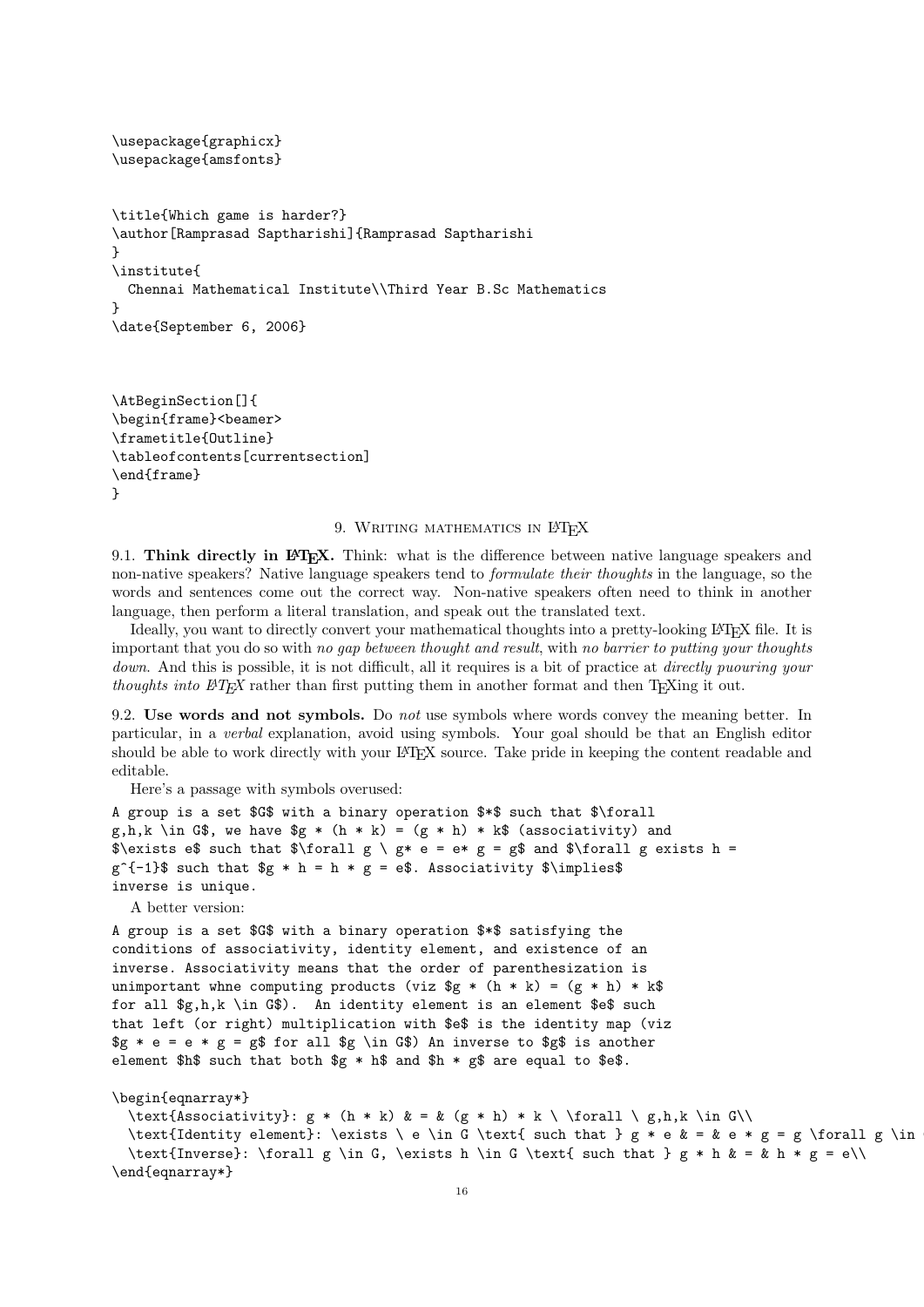```
\usepackage{graphicx}
\usepackage{amsfonts}
\title{Which game is harder?}
\author[Ramprasad Saptharishi]{Ramprasad Saptharishi
}
\institute{
 Chennai Mathematical Institute\\Third Year B.Sc Mathematics
}
\date{September 6, 2006}
```

```
\AtBeginSection[]{
\begin{frame}<beamer>
\frametitle{Outline}
\tableofcontents[currentsection]
\end{frame}
}
```
#### 9. WRITING MATHEMATICS IN LATEX

9.1. Think directly in LAT<sub>EX</sub>. Think: what is the difference between native language speakers and non-native speakers? Native language speakers tend to formulate their thoughts in the language, so the words and sentences come out the correct way. Non-native speakers often need to think in another language, then perform a literal translation, and speak out the translated text.

Ideally, you want to directly convert your mathematical thoughts into a pretty-looking LATEX file. It is important that you do so with no gap between thought and result, with no barrier to putting your thoughts down. And this is possible, it is not difficult, all it requires is a bit of practice at *directly puouring your* thoughts into  $\mathbb{F}T_{F}X$  rather than first putting them in another format and then T<sub>E</sub>Xing it out.

9.2. Use words and not symbols. Do not use symbols where words convey the meaning better. In particular, in a verbal explanation, avoid using symbols. Your goal should be that an English editor should be able to work directly with your LATEX source. Take pride in keeping the content readable and editable.

Here's a passage with symbols overused:

```
A group is a set $G$ with a binary operation $*$ such that $\forall
g,h,k \in G$, we have g * (h * k) = (g * h) * k$ (associativity) and
\text{S\text{-}k} = \frac{1}{2} \cdot \frac{1}{2} \cdot \frac{1}{2} \cdot \frac{1}{2} \cdot \frac{1}{2} \cdot \frac{1}{2} \cdot \frac{1}{2} \cdot \frac{1}{2} \cdot \frac{1}{2} \cdot \frac{1}{2} \cdot \frac{1}{2} \cdot \frac{1}{2} \cdot \frac{1}{2} \cdot \frac{1}{2} \cdot \frac{1}{2} \cdot \frac{1}{2} \cdot \frac{1}{2} \cdot \frac{1}{2} \cdot \frac{1}{2} \cdot \frac{1}{2} \cdot \frac{1}{2} \cdot \frac{1}{2} \cdot \frac{1}{2} \cdot \fracg^{-\{-1\}}\ such that g * h = h * g = e\. Associativity \limplies\inverse is unique.
```
A better version:

A group is a set \$G\$ with a binary operation \$\*\$ satisfying the conditions of associativity, identity element, and existence of an inverse. Associativity means that the order of parenthesization is unimportant whne computing products (viz  $g * (h * k) = (g * h) * k$ for all \$g,h,k \in G\$). An identity element is an element \$e\$ such that left (or right) multiplication with \$e\$ is the identity map (viz  $fg * e = e * g = g$  for all \$g \in G\$) An inverse to \$g\$ is another element  $h$ \$ such that both  $g * h$ \$ and  $h * g$ \$ are equal to \$e\$.

#### \begin{eqnarray\*}

```
\text{Associativity}: g * (h * k) & = & (g * h) * k \ \forall \ g,h,k \in G\\
\text{Identity element}: \exists \ e \in G \text{ such that } g * e & = & e * g = g \forall g \in
```

```
\text{Inverse}: \forall g \in G, \exists h \in G \text{ such that } g * h & = & h * g = e\\
\end{eqnarray*}
```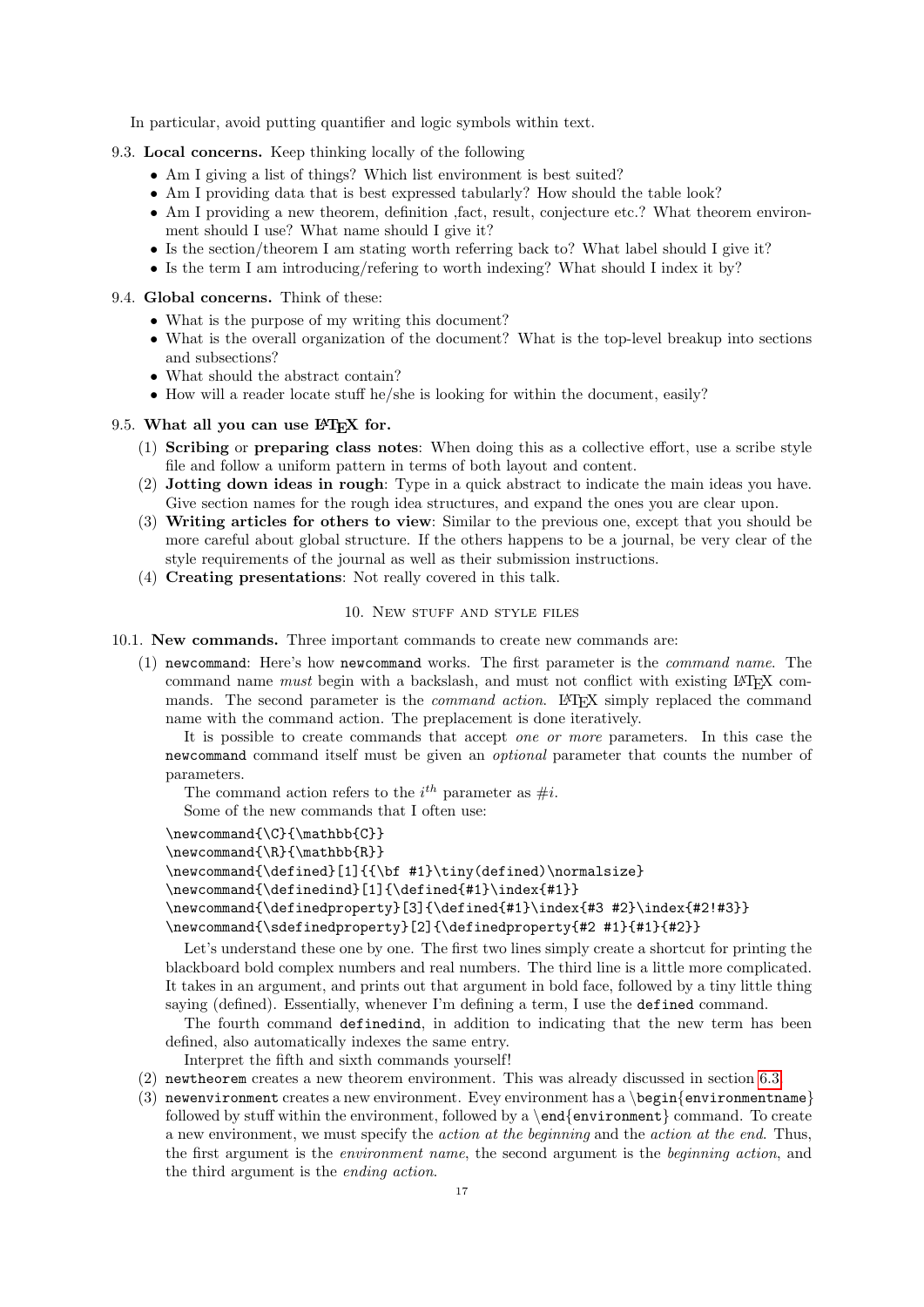<span id="page-16-0"></span>In particular, avoid putting quantifier and logic symbols within text.

- 9.3. Local concerns. Keep thinking locally of the following
	- Am I giving a list of things? Which list environment is best suited?
	- Am I providing data that is best expressed tabularly? How should the table look?
	- Am I providing a new theorem, definition ,fact, result, conjecture etc.? What theorem environment should I use? What name should I give it?
	- Is the section/theorem I am stating worth referring back to? What label should I give it?
	- Is the term I am introducing/refering to worth indexing? What should I index it by?
- 9.4. Global concerns. Think of these:
	- What is the purpose of my writing this document?
	- What is the overall organization of the document? What is the top-level breakup into sections and subsections?
	- What should the abstract contain?
	- How will a reader locate stuff he/she is looking for within the document, easily?

#### 9.5. What all you can use LAT<sub>F</sub>X for.

- (1) Scribing or preparing class notes: When doing this as a collective effort, use a scribe style file and follow a uniform pattern in terms of both layout and content.
- (2) Jotting down ideas in rough: Type in a quick abstract to indicate the main ideas you have. Give section names for the rough idea structures, and expand the ones you are clear upon.
- (3) Writing articles for others to view: Similar to the previous one, except that you should be more careful about global structure. If the others happens to be a journal, be very clear of the style requirements of the journal as well as their submission instructions.
- (4) Creating presentations: Not really covered in this talk.

#### 10. New STUFF AND STYLE FILES

10.1. New commands. Three important commands to create new commands are:

(1) newcommand: Here's how newcommand works. The first parameter is the command name. The command name must begin with a backslash, and must not conflict with existing LATEX commands. The second parameter is the *command action*. LAT<sub>EX</sub> simply replaced the command name with the command action. The preplacement is done iteratively.

It is possible to create commands that accept one or more parameters. In this case the newcommand command itself must be given an optional parameter that counts the number of parameters.

The command action refers to the  $i^{th}$  parameter as  $\#i$ .

Some of the new commands that I often use:

 $\newcommand{\C}{\mathbb{C}}$ 

```
\newcommand{\R}{\mathbb{R}}
```

```
\newcommand{\defined}[1]{{\bf #1}\tiny(defined)\normalsize}
```

```
\newcommand{\definedind}[1]{\defined{#1}\index{#1}}
```

```
\newcommand{\definedproperty}[3]{\defined{#1}\index{#3 #2}\index{#2!#3}}
\newcommand{\sdefinedproperty}[2]{\definedproperty{#2 #1}{#1}{#2}}
```
Let's understand these one by one. The first two lines simply create a shortcut for printing the blackboard bold complex numbers and real numbers. The third line is a little more complicated. It takes in an argument, and prints out that argument in bold face, followed by a tiny little thing saying (defined). Essentially, whenever I'm defining a term, I use the defined command.

The fourth command definedind, in addition to indicating that the new term has been defined, also automatically indexes the same entry.

Interpret the fifth and sixth commands yourself!

- (2) newtheorem creates a new theorem environment. This was already discussed in section [6.3.](#page-11-1)
- (3) newenvironment creates a new environment. Evey environment has a \begin{environmentname} followed by stuff within the environment, followed by a  $\end{math}$  environment} command. To create a new environment, we must specify the action at the beginning and the action at the end. Thus, the first argument is the *environment name*, the second argument is the *beginning action*, and the third argument is the ending action.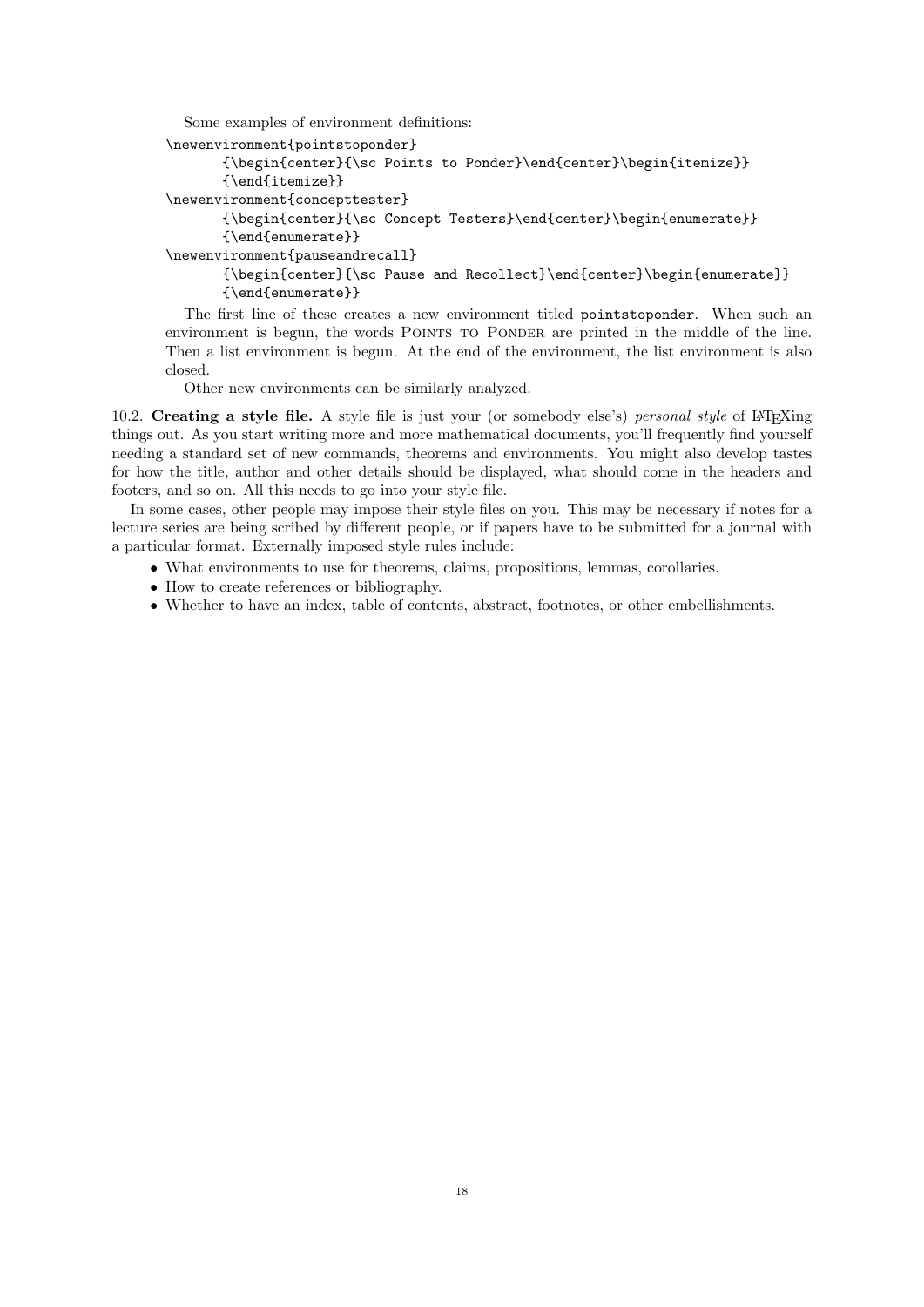```
Some examples of environment definitions:
```

```
\newenvironment{pointstoponder}
      {\begin{center}{\sc Points to Ponder}\end{center}\begin{itemize}}
      {\end{itemize}}
\newenvironment{concepttester}
      {\begin{center}{\sc Concept Testers}\end{center}\begin{enumerate}}
      {\end{enumerate}}
\newenvironment{pauseandrecall}
      {\begin{center}{\sc Pause and Recollect}\end{center}\begin{enumerate}}
      {\end{enumerate}}
```
The first line of these creates a new environment titled pointstoponder. When such an environment is begun, the words POINTS TO PONDER are printed in the middle of the line. Then a list environment is begun. At the end of the environment, the list environment is also closed.

Other new environments can be similarly analyzed.

10.2. Creating a style file. A style file is just your (or somebody else's) personal style of LATEXing things out. As you start writing more and more mathematical documents, you'll frequently find yourself needing a standard set of new commands, theorems and environments. You might also develop tastes for how the title, author and other details should be displayed, what should come in the headers and footers, and so on. All this needs to go into your style file.

In some cases, other people may impose their style files on you. This may be necessary if notes for a lecture series are being scribed by different people, or if papers have to be submitted for a journal with a particular format. Externally imposed style rules include:

- What environments to use for theorems, claims, propositions, lemmas, corollaries.
- How to create references or bibliography.
- Whether to have an index, table of contents, abstract, footnotes, or other embellishments.